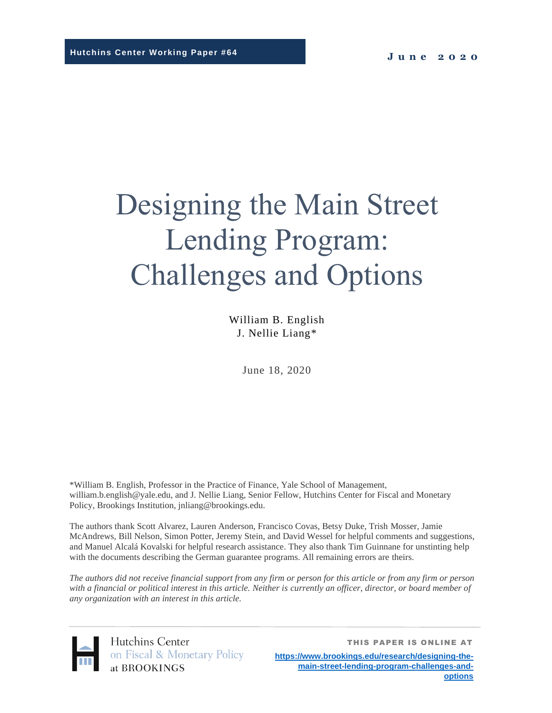# Designing the Main Street Lending Program: Challenges and Options

William B. English J. Nellie Liang\*

June 18, 2020

\*William B. English, Professor in the Practice of Finance, Yale School of Management, william.b.english@yale.edu, and J. Nellie Liang, Senior Fellow, Hutchins Center for Fiscal and Monetary Policy, Brookings Institution, jnliang@brookings.edu.

The authors thank Scott Alvarez, Lauren Anderson, Francisco Covas, Betsy Duke, Trish Mosser, Jamie McAndrews, Bill Nelson, Simon Potter, Jeremy Stein, and David Wessel for helpful comments and suggestions, and Manuel Alcalá Kovalski for helpful research assistance. They also thank Tim Guinnane for unstinting help with the documents describing the German guarantee programs. All remaining errors are theirs.

*The authors did not receive financial support from any firm or person for this article or from any firm or person*  with a financial or political interest in this article. Neither is currently an officer, director, or board member of *any organization with an interest in this article.*



**[https://www.brookings.edu/research/designing-the](https://www.brookings.edu/research/designing-the-main-street-lending-program-challenges-and-options)[main-street-lending-program-challenges-and](https://www.brookings.edu/research/designing-the-main-street-lending-program-challenges-and-options)[options](https://www.brookings.edu/research/designing-the-main-street-lending-program-challenges-and-options)**

THIS PAPER IS ONLINE AT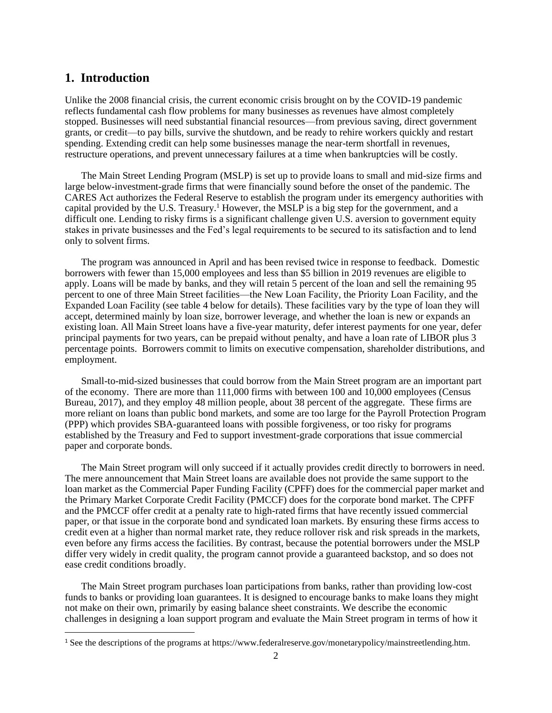#### **1. Introduction**

Unlike the 2008 financial crisis, the current economic crisis brought on by the COVID-19 pandemic reflects fundamental cash flow problems for many businesses as revenues have almost completely stopped. Businesses will need substantial financial resources—from previous saving, direct government grants, or credit—to pay bills, survive the shutdown, and be ready to rehire workers quickly and restart spending. Extending credit can help some businesses manage the near-term shortfall in revenues, restructure operations, and prevent unnecessary failures at a time when bankruptcies will be costly.

The Main Street Lending Program (MSLP) is set up to provide loans to small and mid-size firms and large below-investment-grade firms that were financially sound before the onset of the pandemic. The CARES Act authorizes the Federal Reserve to establish the program under its emergency authorities with capital provided by the U.S. Treasury.<sup>1</sup> However, the MSLP is a big step for the government, and a difficult one. Lending to risky firms is a significant challenge given U.S. aversion to government equity stakes in private businesses and the Fed's legal requirements to be secured to its satisfaction and to lend only to solvent firms.

The program was announced in April and has been revised twice in response to feedback. Domestic borrowers with fewer than 15,000 employees and less than \$5 billion in 2019 revenues are eligible to apply. Loans will be made by banks, and they will retain 5 percent of the loan and sell the remaining 95 percent to one of three Main Street facilities—the New Loan Facility, the Priority Loan Facility, and the Expanded Loan Facility (see table 4 below for details). These facilities vary by the type of loan they will accept, determined mainly by loan size, borrower leverage, and whether the loan is new or expands an existing loan. All Main Street loans have a five-year maturity, defer interest payments for one year, defer principal payments for two years, can be prepaid without penalty, and have a loan rate of LIBOR plus 3 percentage points. Borrowers commit to limits on executive compensation, shareholder distributions, and employment.

Small-to-mid-sized businesses that could borrow from the Main Street program are an important part of the economy. There are more than 111,000 firms with between 100 and 10,000 employees (Census Bureau, 2017), and they employ 48 million people, about 38 percent of the aggregate. These firms are more reliant on loans than public bond markets, and some are too large for the Payroll Protection Program (PPP) which provides SBA-guaranteed loans with possible forgiveness, or too risky for programs established by the Treasury and Fed to support investment-grade corporations that issue commercial paper and corporate bonds.

The Main Street program will only succeed if it actually provides credit directly to borrowers in need. The mere announcement that Main Street loans are available does not provide the same support to the loan market as the Commercial Paper Funding Facility (CPFF) does for the commercial paper market and the Primary Market Corporate Credit Facility (PMCCF) does for the corporate bond market. The CPFF and the PMCCF offer credit at a penalty rate to high-rated firms that have recently issued commercial paper, or that issue in the corporate bond and syndicated loan markets. By ensuring these firms access to credit even at a higher than normal market rate, they reduce rollover risk and risk spreads in the markets, even before any firms access the facilities. By contrast, because the potential borrowers under the MSLP differ very widely in credit quality, the program cannot provide a guaranteed backstop, and so does not ease credit conditions broadly.

The Main Street program purchases loan participations from banks, rather than providing low-cost funds to banks or providing loan guarantees. It is designed to encourage banks to make loans they might not make on their own, primarily by easing balance sheet constraints. We describe the economic challenges in designing a loan support program and evaluate the Main Street program in terms of how it

<sup>1</sup> See the descriptions of the programs at https://www.federalreserve.gov/monetarypolicy/mainstreetlending.htm.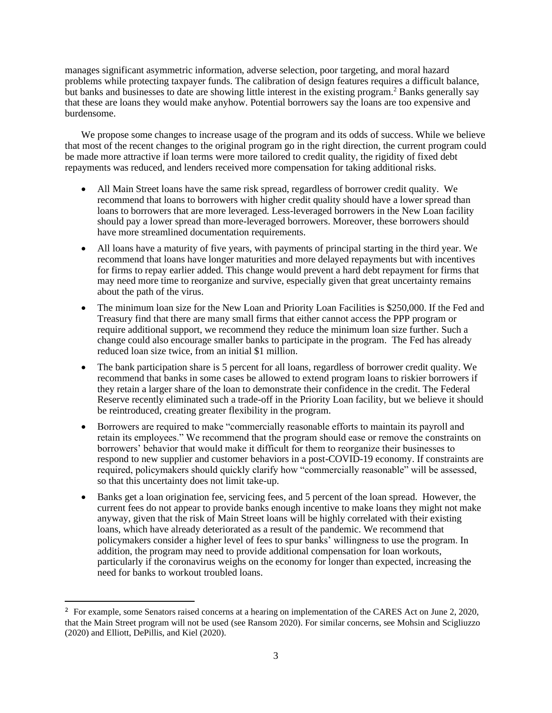manages significant asymmetric information, adverse selection, poor targeting, and moral hazard problems while protecting taxpayer funds. The calibration of design features requires a difficult balance, but banks and businesses to date are showing little interest in the existing program.<sup>2</sup> Banks generally say that these are loans they would make anyhow. Potential borrowers say the loans are too expensive and burdensome.

We propose some changes to increase usage of the program and its odds of success. While we believe that most of the recent changes to the original program go in the right direction, the current program could be made more attractive if loan terms were more tailored to credit quality, the rigidity of fixed debt repayments was reduced, and lenders received more compensation for taking additional risks.

- All Main Street loans have the same risk spread, regardless of borrower credit quality. We recommend that loans to borrowers with higher credit quality should have a lower spread than loans to borrowers that are more leveraged. Less-leveraged borrowers in the New Loan facility should pay a lower spread than more-leveraged borrowers. Moreover, these borrowers should have more streamlined documentation requirements.
- All loans have a maturity of five years, with payments of principal starting in the third year. We recommend that loans have longer maturities and more delayed repayments but with incentives for firms to repay earlier added. This change would prevent a hard debt repayment for firms that may need more time to reorganize and survive, especially given that great uncertainty remains about the path of the virus.
- The minimum loan size for the New Loan and Priority Loan Facilities is \$250,000. If the Fed and Treasury find that there are many small firms that either cannot access the PPP program or require additional support, we recommend they reduce the minimum loan size further. Such a change could also encourage smaller banks to participate in the program. The Fed has already reduced loan size twice, from an initial \$1 million.
- The bank participation share is 5 percent for all loans, regardless of borrower credit quality. We recommend that banks in some cases be allowed to extend program loans to riskier borrowers if they retain a larger share of the loan to demonstrate their confidence in the credit. The Federal Reserve recently eliminated such a trade-off in the Priority Loan facility, but we believe it should be reintroduced, creating greater flexibility in the program.
- Borrowers are required to make "commercially reasonable efforts to maintain its payroll and retain its employees." We recommend that the program should ease or remove the constraints on borrowers' behavior that would make it difficult for them to reorganize their businesses to respond to new supplier and customer behaviors in a post-COVID-19 economy. If constraints are required, policymakers should quickly clarify how "commercially reasonable" will be assessed, so that this uncertainty does not limit take-up.
- Banks get a loan origination fee, servicing fees, and 5 percent of the loan spread. However, the current fees do not appear to provide banks enough incentive to make loans they might not make anyway, given that the risk of Main Street loans will be highly correlated with their existing loans, which have already deteriorated as a result of the pandemic. We recommend that policymakers consider a higher level of fees to spur banks' willingness to use the program. In addition, the program may need to provide additional compensation for loan workouts, particularly if the coronavirus weighs on the economy for longer than expected, increasing the need for banks to workout troubled loans.

<sup>&</sup>lt;sup>2</sup> For example, some Senators raised concerns at a hearing on implementation of the CARES Act on June 2, 2020, that the Main Street program will not be used (see Ransom 2020). For similar concerns, see Mohsin and Scigliuzzo (2020) and Elliott, DePillis, and Kiel (2020).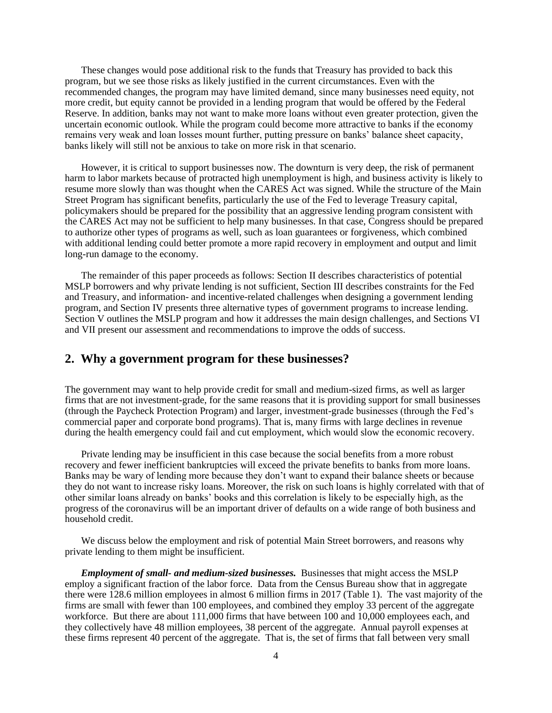These changes would pose additional risk to the funds that Treasury has provided to back this program, but we see those risks as likely justified in the current circumstances. Even with the recommended changes, the program may have limited demand, since many businesses need equity, not more credit, but equity cannot be provided in a lending program that would be offered by the Federal Reserve. In addition, banks may not want to make more loans without even greater protection, given the uncertain economic outlook. While the program could become more attractive to banks if the economy remains very weak and loan losses mount further, putting pressure on banks' balance sheet capacity, banks likely will still not be anxious to take on more risk in that scenario.

However, it is critical to support businesses now. The downturn is very deep, the risk of permanent harm to labor markets because of protracted high unemployment is high, and business activity is likely to resume more slowly than was thought when the CARES Act was signed. While the structure of the Main Street Program has significant benefits, particularly the use of the Fed to leverage Treasury capital, policymakers should be prepared for the possibility that an aggressive lending program consistent with the CARES Act may not be sufficient to help many businesses. In that case, Congress should be prepared to authorize other types of programs as well, such as loan guarantees or forgiveness, which combined with additional lending could better promote a more rapid recovery in employment and output and limit long-run damage to the economy.

The remainder of this paper proceeds as follows: Section II describes characteristics of potential MSLP borrowers and why private lending is not sufficient, Section III describes constraints for the Fed and Treasury, and information- and incentive-related challenges when designing a government lending program, and Section IV presents three alternative types of government programs to increase lending. Section V outlines the MSLP program and how it addresses the main design challenges, and Sections VI and VII present our assessment and recommendations to improve the odds of success.

## **2. Why a government program for these businesses?**

The government may want to help provide credit for small and medium-sized firms, as well as larger firms that are not investment-grade, for the same reasons that it is providing support for small businesses (through the Paycheck Protection Program) and larger, investment-grade businesses (through the Fed's commercial paper and corporate bond programs). That is, many firms with large declines in revenue during the health emergency could fail and cut employment, which would slow the economic recovery.

Private lending may be insufficient in this case because the social benefits from a more robust recovery and fewer inefficient bankruptcies will exceed the private benefits to banks from more loans. Banks may be wary of lending more because they don't want to expand their balance sheets or because they do not want to increase risky loans. Moreover, the risk on such loans is highly correlated with that of other similar loans already on banks' books and this correlation is likely to be especially high, as the progress of the coronavirus will be an important driver of defaults on a wide range of both business and household credit.

We discuss below the employment and risk of potential Main Street borrowers, and reasons why private lending to them might be insufficient.

*Employment of small- and medium-sized businesses.* Businesses that might access the MSLP employ a significant fraction of the labor force. Data from the Census Bureau show that in aggregate there were 128.6 million employees in almost 6 million firms in 2017 (Table 1). The vast majority of the firms are small with fewer than 100 employees, and combined they employ 33 percent of the aggregate workforce. But there are about 111,000 firms that have between 100 and 10,000 employees each, and they collectively have 48 million employees, 38 percent of the aggregate. Annual payroll expenses at these firms represent 40 percent of the aggregate. That is, the set of firms that fall between very small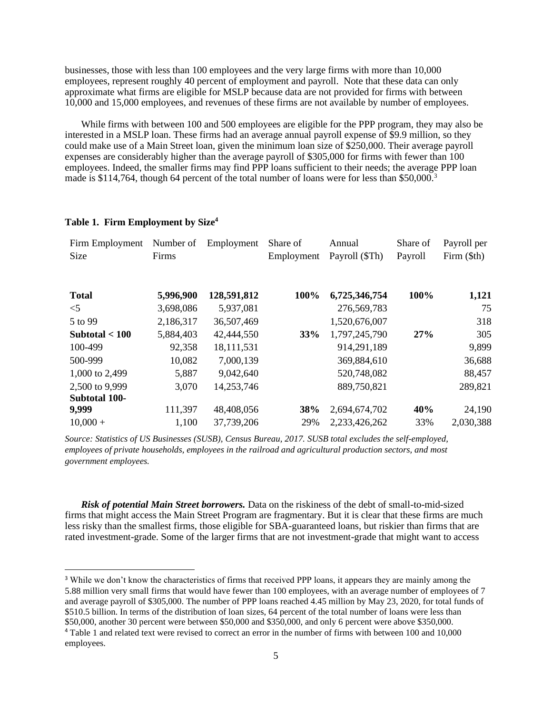businesses, those with less than 100 employees and the very large firms with more than 10,000 employees, represent roughly 40 percent of employment and payroll. Note that these data can only approximate what firms are eligible for MSLP because data are not provided for firms with between 10,000 and 15,000 employees, and revenues of these firms are not available by number of employees.

While firms with between 100 and 500 employees are eligible for the PPP program, they may also be interested in a MSLP loan. These firms had an average annual payroll expense of \$9.9 million, so they could make use of a Main Street loan, given the minimum loan size of \$250,000. Their average payroll expenses are considerably higher than the average payroll of \$305,000 for firms with fewer than 100 employees. Indeed, the smaller firms may find PPP loans sufficient to their needs; the average PPP loan made is \$114,764, though 64 percent of the total number of loans were for less than \$50,000.<sup>3</sup>

| Firm Employment      | Number of | Employment  | Share of   | Annual         | Share of | Payroll per      |
|----------------------|-----------|-------------|------------|----------------|----------|------------------|
| Size                 | Firms     |             | Employment | Payroll (\$Th) | Payroll  | $Firm$ ( $$th$ ) |
|                      |           |             |            |                |          |                  |
| <b>Total</b>         | 5,996,900 | 128,591,812 | 100%       | 6,725,346,754  | 100%     | 1,121            |
| $<$ 5                | 3,698,086 | 5,937,081   |            | 276,569,783    |          | 75               |
| 5 to 99              | 2,186,317 | 36,507,469  |            | 1,520,676,007  |          | 318              |
| Subtotal $< 100$     | 5,884,403 | 42,444,550  | 33%        | 1,797,245,790  | 27%      | 305              |
| 100-499              | 92,358    | 18,111,531  |            | 914,291,189    |          | 9,899            |
| 500-999              | 10,082    | 7,000,139   |            | 369,884,610    |          | 36,688           |
| 1,000 to 2,499       | 5,887     | 9,042,640   |            | 520,748,082    |          | 88,457           |
| 2,500 to 9,999       | 3,070     | 14,253,746  |            | 889,750,821    |          | 289,821          |
| <b>Subtotal 100-</b> |           |             |            |                |          |                  |
| 9,999                | 111,397   | 48,408,056  | 38%        | 2,694,674,702  | 40%      | 24,190           |
| $10,000 +$           | 1,100     | 37,739,206  | 29%        | 2,233,426,262  | 33%      | 2,030,388        |

#### **Table 1. Firm Employment by Size<sup>4</sup>**

*Source: Statistics of US Businesses (SUSB), Census Bureau, 2017. SUSB total excludes the self-employed, employees of private households, employees in the railroad and agricultural production sectors, and most government employees.*

*Risk of potential Main Street borrowers.* Data on the riskiness of the debt of small-to-mid-sized firms that might access the Main Street Program are fragmentary. But it is clear that these firms are much less risky than the smallest firms, those eligible for SBA-guaranteed loans, but riskier than firms that are rated investment-grade. Some of the larger firms that are not investment-grade that might want to access

<sup>&</sup>lt;sup>3</sup> While we don't know the characteristics of firms that received PPP loans, it appears they are mainly among the 5.88 million very small firms that would have fewer than 100 employees, with an average number of employees of 7 and average payroll of \$305,000. The number of PPP loans reached 4.45 million by May 23, 2020, for total funds of \$510.5 billion. In terms of the distribution of loan sizes, 64 percent of the total number of loans were less than \$50,000, another 30 percent were between \$50,000 and \$350,000, and only 6 percent were above \$350,000.

<sup>4</sup> Table 1 and related text were revised to correct an error in the number of firms with between 100 and 10,000 employees.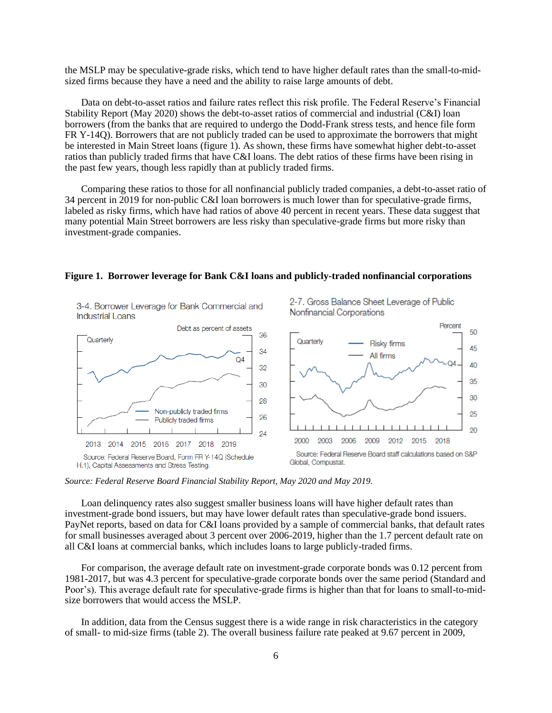the MSLP may be speculative-grade risks, which tend to have higher default rates than the small-to-midsized firms because they have a need and the ability to raise large amounts of debt.

Data on debt-to-asset ratios and failure rates reflect this risk profile. The Federal Reserve's Financial Stability Report (May 2020) shows the debt-to-asset ratios of commercial and industrial (C&I) loan borrowers (from the banks that are required to undergo the Dodd-Frank stress tests, and hence file form FR Y-14Q). Borrowers that are not publicly traded can be used to approximate the borrowers that might be interested in Main Street loans (figure 1). As shown, these firms have somewhat higher debt-to-asset ratios than publicly traded firms that have C&I loans. The debt ratios of these firms have been rising in the past few years, though less rapidly than at publicly traded firms.

Comparing these ratios to those for all nonfinancial publicly traded companies, a debt-to-asset ratio of 34 percent in 2019 for non-public C&I loan borrowers is much lower than for speculative-grade firms, labeled as risky firms, which have had ratios of above 40 percent in recent years. These data suggest that many potential Main Street borrowers are less risky than speculative-grade firms but more risky than investment-grade companies.



**Figure 1. Borrower leverage for Bank C&I loans and publicly-traded nonfinancial corporations**

*Source: Federal Reserve Board Financial Stability Report, May 2020 and May 2019.*

Loan delinquency rates also suggest smaller business loans will have higher default rates than investment-grade bond issuers, but may have lower default rates than speculative-grade bond issuers. PayNet reports, based on data for C&I loans provided by a sample of commercial banks, that default rates for small businesses averaged about 3 percent over 2006-2019, higher than the 1.7 percent default rate on all C&I loans at commercial banks, which includes loans to large publicly-traded firms.

For comparison, the average default rate on investment-grade corporate bonds was 0.12 percent from 1981-2017, but was 4.3 percent for speculative-grade corporate bonds over the same period (Standard and Poor's). This average default rate for speculative-grade firms is higher than that for loans to small-to-midsize borrowers that would access the MSLP.

In addition, data from the Census suggest there is a wide range in risk characteristics in the category of small- to mid-size firms (table 2). The overall business failure rate peaked at 9.67 percent in 2009,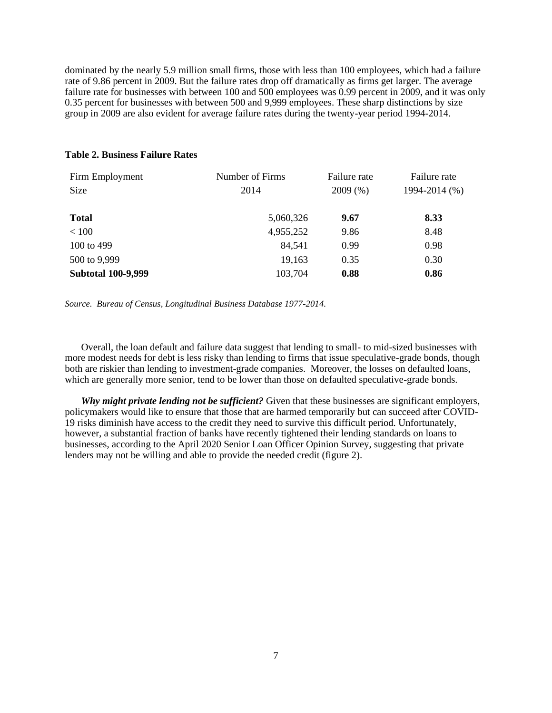dominated by the nearly 5.9 million small firms, those with less than 100 employees, which had a failure rate of 9.86 percent in 2009. But the failure rates drop off dramatically as firms get larger. The average failure rate for businesses with between 100 and 500 employees was 0.99 percent in 2009, and it was only 0.35 percent for businesses with between 500 and 9,999 employees. These sharp distinctions by size group in 2009 are also evident for average failure rates during the twenty-year period 1994-2014.

| Firm Employment           | Number of Firms | Failure rate | Failure rate  |
|---------------------------|-----------------|--------------|---------------|
| Size                      | 2014            | 2009(%)      | 1994-2014 (%) |
|                           |                 |              |               |
| <b>Total</b>              | 5,060,326       | 9.67         | 8.33          |
| < 100                     | 4,955,252       | 9.86         | 8.48          |
| 100 to 499                | 84,541          | 0.99         | 0.98          |
| 500 to 9,999              | 19,163          | 0.35         | 0.30          |
| <b>Subtotal 100-9,999</b> | 103,704         | 0.88         | 0.86          |

#### **Table 2. Business Failure Rates**

*Source. Bureau of Census, Longitudinal Business Database 1977-2014.*

Overall, the loan default and failure data suggest that lending to small- to mid-sized businesses with more modest needs for debt is less risky than lending to firms that issue speculative-grade bonds, though both are riskier than lending to investment-grade companies. Moreover, the losses on defaulted loans, which are generally more senior, tend to be lower than those on defaulted speculative-grade bonds.

*Why might private lending not be sufficient?* Given that these businesses are significant employers, policymakers would like to ensure that those that are harmed temporarily but can succeed after COVID-19 risks diminish have access to the credit they need to survive this difficult period. Unfortunately, however, a substantial fraction of banks have recently tightened their lending standards on loans to businesses, according to the April 2020 Senior Loan Officer Opinion Survey, suggesting that private lenders may not be willing and able to provide the needed credit (figure 2).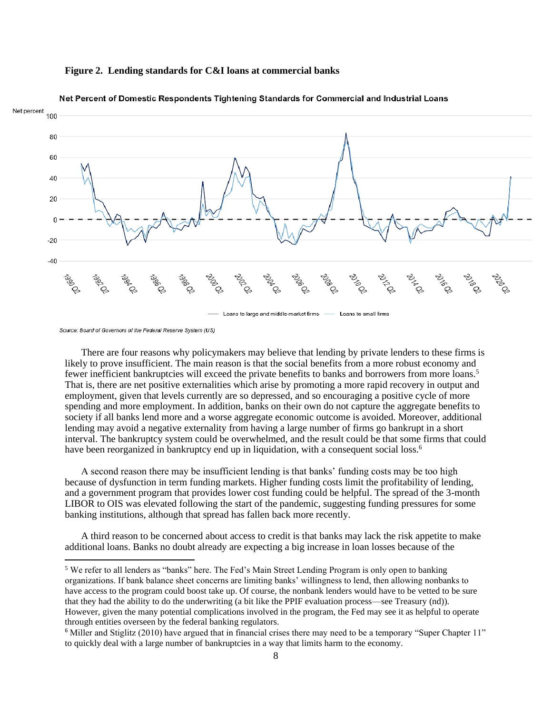

# **Figure 2. Lending standards for C&I loans at commercial banks**

Source: Board of Governors of the Federal Reserve System (US)

There are four reasons why policymakers may believe that lending by private lenders to these firms is likely to prove insufficient. The main reason is that the social benefits from a more robust economy and fewer inefficient bankruptcies will exceed the private benefits to banks and borrowers from more loans.<sup>5</sup> That is, there are net positive externalities which arise by promoting a more rapid recovery in output and employment, given that levels currently are so depressed, and so encouraging a positive cycle of more spending and more employment. In addition, banks on their own do not capture the aggregate benefits to society if all banks lend more and a worse aggregate economic outcome is avoided. Moreover, additional lending may avoid a negative externality from having a large number of firms go bankrupt in a short interval. The bankruptcy system could be overwhelmed, and the result could be that some firms that could have been reorganized in bankruptcy end up in liquidation, with a consequent social loss.<sup>6</sup>

Loans to large and middle-market firms

Loans to small firms

A second reason there may be insufficient lending is that banks' funding costs may be too high because of dysfunction in term funding markets. Higher funding costs limit the profitability of lending, and a government program that provides lower cost funding could be helpful. The spread of the 3-month LIBOR to OIS was elevated following the start of the pandemic, suggesting funding pressures for some banking institutions, although that spread has fallen back more recently.

A third reason to be concerned about access to credit is that banks may lack the risk appetite to make additional loans. Banks no doubt already are expecting a big increase in loan losses because of the

<sup>5</sup> We refer to all lenders as "banks" here. The Fed's Main Street Lending Program is only open to banking organizations. If bank balance sheet concerns are limiting banks' willingness to lend, then allowing nonbanks to have access to the program could boost take up. Of course, the nonbank lenders would have to be vetted to be sure that they had the ability to do the underwriting (a bit like the PPIF evaluation process—see Treasury (nd)). However, given the many potential complications involved in the program, the Fed may see it as helpful to operate through entities overseen by the federal banking regulators.

<sup>6</sup> Miller and Stiglitz (2010) have argued that in financial crises there may need to be a temporary "Super Chapter 11" to quickly deal with a large number of bankruptcies in a way that limits harm to the economy.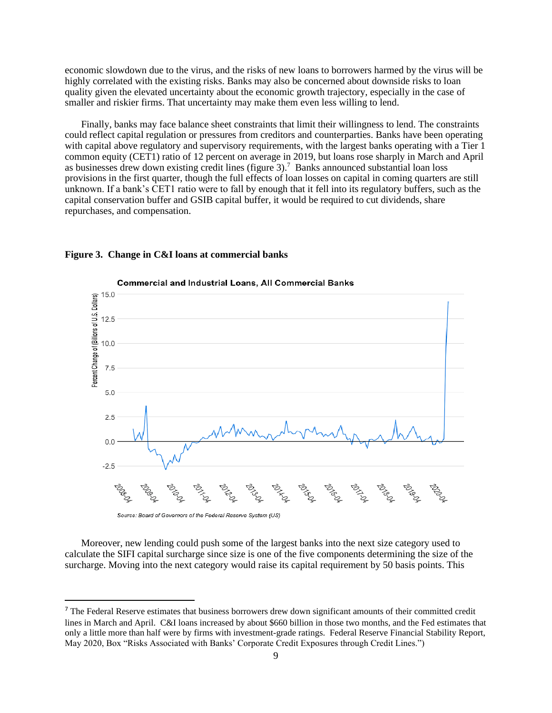economic slowdown due to the virus, and the risks of new loans to borrowers harmed by the virus will be highly correlated with the existing risks. Banks may also be concerned about downside risks to loan quality given the elevated uncertainty about the economic growth trajectory, especially in the case of smaller and riskier firms. That uncertainty may make them even less willing to lend.

Finally, banks may face balance sheet constraints that limit their willingness to lend. The constraints could reflect capital regulation or pressures from creditors and counterparties. Banks have been operating with capital above regulatory and supervisory requirements, with the largest banks operating with a Tier 1 common equity (CET1) ratio of 12 percent on average in 2019, but loans rose sharply in March and April as businesses drew down existing credit lines (figure  $3$ ).<sup>7</sup> Banks announced substantial loan loss provisions in the first quarter, though the full effects of loan losses on capital in coming quarters are still unknown. If a bank's CET1 ratio were to fall by enough that it fell into its regulatory buffers, such as the capital conservation buffer and GSIB capital buffer, it would be required to cut dividends, share repurchases, and compensation.



#### **Figure 3. Change in C&I loans at commercial banks**

Moreover, new lending could push some of the largest banks into the next size category used to calculate the SIFI capital surcharge since size is one of the five components determining the size of the surcharge. Moving into the next category would raise its capital requirement by 50 basis points. This

<sup>&</sup>lt;sup>7</sup> The Federal Reserve estimates that business borrowers drew down significant amounts of their committed credit lines in March and April. C&I loans increased by about \$660 billion in those two months, and the Fed estimates that only a little more than half were by firms with investment-grade ratings. Federal Reserve Financial Stability Report, May 2020, Box "Risks Associated with Banks' Corporate Credit Exposures through Credit Lines.")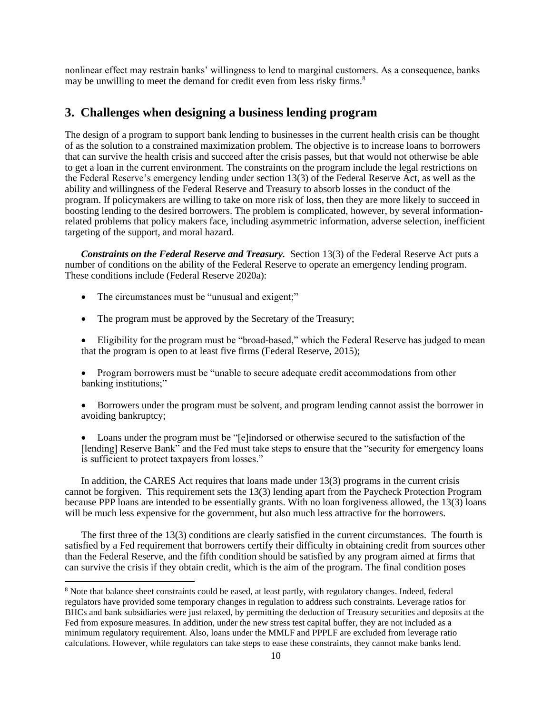nonlinear effect may restrain banks' willingness to lend to marginal customers. As a consequence, banks may be unwilling to meet the demand for credit even from less risky firms.<sup>8</sup>

### **3. Challenges when designing a business lending program**

The design of a program to support bank lending to businesses in the current health crisis can be thought of as the solution to a constrained maximization problem. The objective is to increase loans to borrowers that can survive the health crisis and succeed after the crisis passes, but that would not otherwise be able to get a loan in the current environment. The constraints on the program include the legal restrictions on the Federal Reserve's emergency lending under section 13(3) of the Federal Reserve Act, as well as the ability and willingness of the Federal Reserve and Treasury to absorb losses in the conduct of the program. If policymakers are willing to take on more risk of loss, then they are more likely to succeed in boosting lending to the desired borrowers. The problem is complicated, however, by several informationrelated problems that policy makers face, including asymmetric information, adverse selection, inefficient targeting of the support, and moral hazard.

*Constraints on the Federal Reserve and Treasury.* Section 13(3) of the Federal Reserve Act puts a number of conditions on the ability of the Federal Reserve to operate an emergency lending program. These conditions include (Federal Reserve 2020a):

- The circumstances must be "unusual and exigent;"
- The program must be approved by the Secretary of the Treasury;
- Eligibility for the program must be "broad-based," which the Federal Reserve has judged to mean that the program is open to at least five firms (Federal Reserve, 2015);
- Program borrowers must be "unable to secure adequate credit accommodations from other banking institutions;"
- Borrowers under the program must be solvent, and program lending cannot assist the borrower in avoiding bankruptcy;
- Loans under the program must be "[e]indorsed or otherwise secured to the satisfaction of the [lending] Reserve Bank" and the Fed must take steps to ensure that the "security for emergency loans is sufficient to protect taxpayers from losses."

In addition, the CARES Act requires that loans made under 13(3) programs in the current crisis cannot be forgiven. This requirement sets the 13(3) lending apart from the Paycheck Protection Program because PPP loans are intended to be essentially grants. With no loan forgiveness allowed, the 13(3) loans will be much less expensive for the government, but also much less attractive for the borrowers.

The first three of the 13(3) conditions are clearly satisfied in the current circumstances. The fourth is satisfied by a Fed requirement that borrowers certify their difficulty in obtaining credit from sources other than the Federal Reserve, and the fifth condition should be satisfied by any program aimed at firms that can survive the crisis if they obtain credit, which is the aim of the program. The final condition poses

<sup>8</sup> Note that balance sheet constraints could be eased, at least partly, with regulatory changes. Indeed, federal regulators have provided some temporary changes in regulation to address such constraints. Leverage ratios for BHCs and bank subsidiaries were just relaxed, by permitting the deduction of Treasury securities and deposits at the Fed from exposure measures. In addition, under the new stress test capital buffer, they are not included as a minimum regulatory requirement. Also, loans under the MMLF and PPPLF are excluded from leverage ratio calculations. However, while regulators can take steps to ease these constraints, they cannot make banks lend.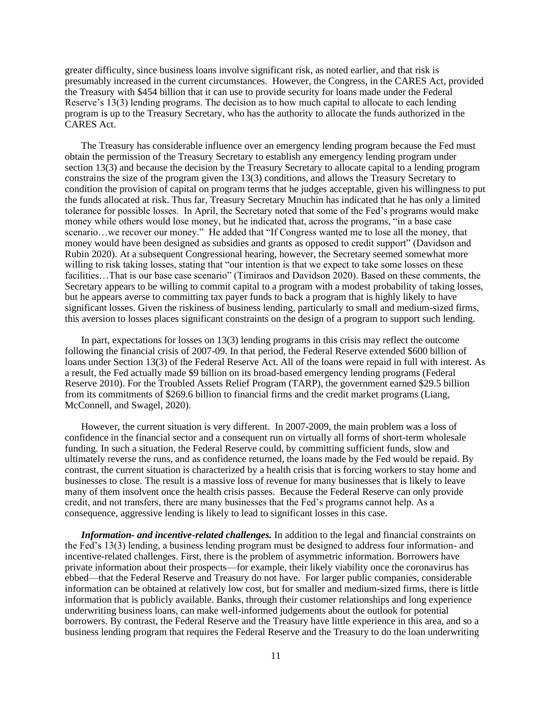greater difficulty, since business loans involve significant risk, as noted earlier, and that risk is presumably increased in the current circumstances. However, the Congress, in the CARES Act, provided the Treasury with \$454 billion that it can use to provide security for loans made under the Federal Reserve's 13(3) lending programs. The decision as to how much capital to allocate to each lending program is up to the Treasury Secretary, who has the authority to allocate the funds authorized in the CARES Act.

The Treasury has considerable influence over an emergency lending program because the Fed must obtain the permission of the Treasury Secretary to establish any emergency lending program under section 13(3) and because the decision by the Treasury Secretary to allocate capital to a lending program constrains the size of the program given the 13(3) conditions, and allows the Treasury Secretary to condition the provision of capital on program terms that he judges acceptable, given his willingness to put the funds allocated at risk. Thus far, Treasury Secretary Mnuchin has indicated that he has only a limited tolerance for possible losses. In April, the Secretary noted that some of the Fed's programs would make money while others would lose money, but he indicated that, across the programs, "in a base case scenario…we recover our money." He added that "If Congress wanted me to lose all the money, that money would have been designed as subsidies and grants as opposed to credit support" (Davidson and Rubin 2020). At a subsequent Congressional hearing, however, the Secretary seemed somewhat more willing to risk taking losses, stating that "our intention is that we expect to take some losses on these facilities…That is our base case scenario" (Timiraos and Davidson 2020). Based on these comments, the Secretary appears to be willing to commit capital to a program with a modest probability of taking losses, but he appears averse to committing tax payer funds to back a program that is highly likely to have significant losses. Given the riskiness of business lending, particularly to small and medium-sized firms, this aversion to losses places significant constraints on the design of a program to support such lending.

In part, expectations for losses on 13(3) lending programs in this crisis may reflect the outcome following the financial crisis of 2007-09. In that period, the Federal Reserve extended \$600 billion of loans under Section 13(3) of the Federal Reserve Act. All of the loans were repaid in full with interest. As a result, the Fed actually made \$9 billion on its broad-based emergency lending programs (Federal Reserve 2010). For the Troubled Assets Relief Program (TARP), the government earned \$29.5 billion from its commitments of \$269.6 billion to financial firms and the credit market programs (Liang, McConnell, and Swagel, 2020).

However, the current situation is very different. In 2007-2009, the main problem was a loss of confidence in the financial sector and a consequent run on virtually all forms of short-term wholesale funding. In such a situation, the Federal Reserve could, by committing sufficient funds, slow and ultimately reverse the runs, and as confidence returned, the loans made by the Fed would be repaid. By contrast, the current situation is characterized by a health crisis that is forcing workers to stay home and businesses to close. The result is a massive loss of revenue for many businesses that is likely to leave many of them insolvent once the health crisis passes. Because the Federal Reserve can only provide credit, and not transfers, there are many businesses that the Fed's programs cannot help. As a consequence, aggressive lending is likely to lead to significant losses in this case.

*Information- and incentive-related challenges.* In addition to the legal and financial constraints on the Fed's 13(3) lending, a business lending program must be designed to address four information- and incentive-related challenges. First, there is the problem of asymmetric information. Borrowers have private information about their prospects—for example, their likely viability once the coronavirus has ebbed—that the Federal Reserve and Treasury do not have. For larger public companies, considerable information can be obtained at relatively low cost, but for smaller and medium-sized firms, there is little information that is publicly available. Banks, through their customer relationships and long experience underwriting business loans, can make well-informed judgements about the outlook for potential borrowers. By contrast, the Federal Reserve and the Treasury have little experience in this area, and so a business lending program that requires the Federal Reserve and the Treasury to do the loan underwriting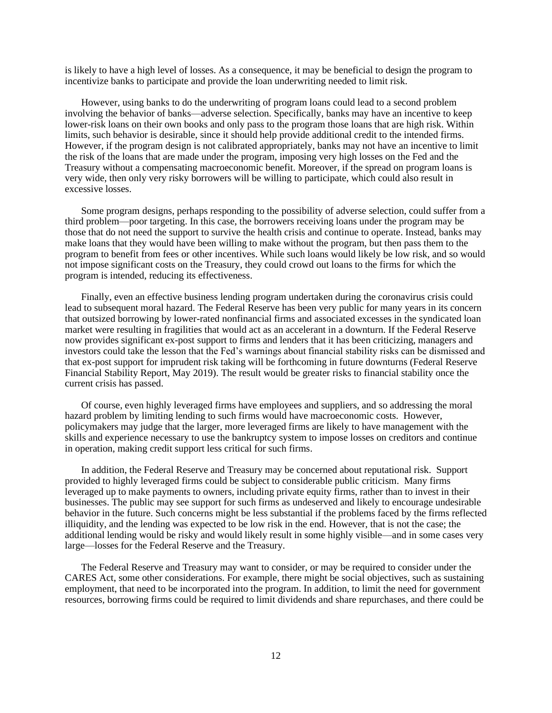is likely to have a high level of losses. As a consequence, it may be beneficial to design the program to incentivize banks to participate and provide the loan underwriting needed to limit risk.

However, using banks to do the underwriting of program loans could lead to a second problem involving the behavior of banks—adverse selection. Specifically, banks may have an incentive to keep lower-risk loans on their own books and only pass to the program those loans that are high risk. Within limits, such behavior is desirable, since it should help provide additional credit to the intended firms. However, if the program design is not calibrated appropriately, banks may not have an incentive to limit the risk of the loans that are made under the program, imposing very high losses on the Fed and the Treasury without a compensating macroeconomic benefit. Moreover, if the spread on program loans is very wide, then only very risky borrowers will be willing to participate, which could also result in excessive losses.

Some program designs, perhaps responding to the possibility of adverse selection, could suffer from a third problem—poor targeting. In this case, the borrowers receiving loans under the program may be those that do not need the support to survive the health crisis and continue to operate. Instead, banks may make loans that they would have been willing to make without the program, but then pass them to the program to benefit from fees or other incentives. While such loans would likely be low risk, and so would not impose significant costs on the Treasury, they could crowd out loans to the firms for which the program is intended, reducing its effectiveness.

Finally, even an effective business lending program undertaken during the coronavirus crisis could lead to subsequent moral hazard. The Federal Reserve has been very public for many years in its concern that outsized borrowing by lower-rated nonfinancial firms and associated excesses in the syndicated loan market were resulting in fragilities that would act as an accelerant in a downturn. If the Federal Reserve now provides significant ex-post support to firms and lenders that it has been criticizing, managers and investors could take the lesson that the Fed's warnings about financial stability risks can be dismissed and that ex-post support for imprudent risk taking will be forthcoming in future downturns (Federal Reserve Financial Stability Report, May 2019). The result would be greater risks to financial stability once the current crisis has passed.

Of course, even highly leveraged firms have employees and suppliers, and so addressing the moral hazard problem by limiting lending to such firms would have macroeconomic costs. However, policymakers may judge that the larger, more leveraged firms are likely to have management with the skills and experience necessary to use the bankruptcy system to impose losses on creditors and continue in operation, making credit support less critical for such firms.

In addition, the Federal Reserve and Treasury may be concerned about reputational risk. Support provided to highly leveraged firms could be subject to considerable public criticism. Many firms leveraged up to make payments to owners, including private equity firms, rather than to invest in their businesses. The public may see support for such firms as undeserved and likely to encourage undesirable behavior in the future. Such concerns might be less substantial if the problems faced by the firms reflected illiquidity, and the lending was expected to be low risk in the end. However, that is not the case; the additional lending would be risky and would likely result in some highly visible—and in some cases very large—losses for the Federal Reserve and the Treasury.

The Federal Reserve and Treasury may want to consider, or may be required to consider under the CARES Act, some other considerations. For example, there might be social objectives, such as sustaining employment, that need to be incorporated into the program. In addition, to limit the need for government resources, borrowing firms could be required to limit dividends and share repurchases, and there could be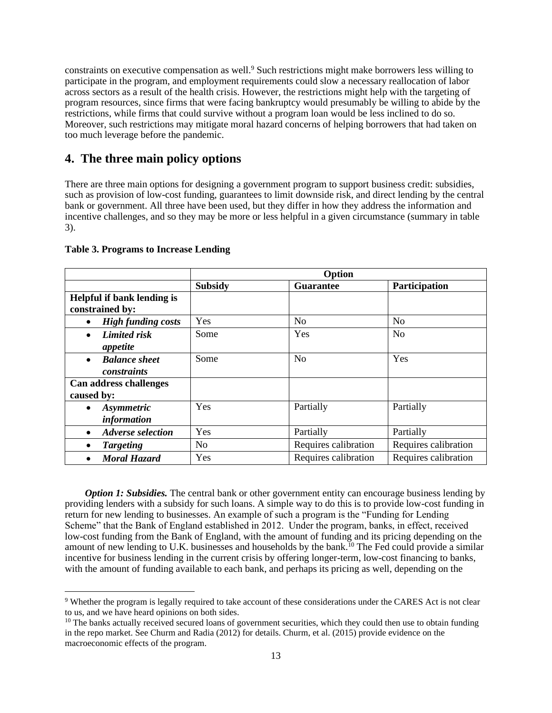constraints on executive compensation as well.<sup>9</sup> Such restrictions might make borrowers less willing to participate in the program, and employment requirements could slow a necessary reallocation of labor across sectors as a result of the health crisis. However, the restrictions might help with the targeting of program resources, since firms that were facing bankruptcy would presumably be willing to abide by the restrictions, while firms that could survive without a program loan would be less inclined to do so. Moreover, such restrictions may mitigate moral hazard concerns of helping borrowers that had taken on too much leverage before the pandemic.

### **4. The three main policy options**

There are three main options for designing a government program to support business credit: subsidies, such as provision of low-cost funding, guarantees to limit downside risk, and direct lending by the central bank or government. All three have been used, but they differ in how they address the information and incentive challenges, and so they may be more or less helpful in a given circumstance (summary in table 3).

|                                                         | Option         |                      |                      |  |
|---------------------------------------------------------|----------------|----------------------|----------------------|--|
|                                                         | <b>Subsidy</b> | <b>Guarantee</b>     | Participation        |  |
| <b>Helpful if bank lending is</b><br>constrained by:    |                |                      |                      |  |
| <b>High funding costs</b><br>$\bullet$                  | Yes            | N <sub>o</sub>       | N <sub>o</sub>       |  |
| <b>Limited risk</b><br>$\bullet$<br>appetite            | Some           | Yes                  | N <sub>o</sub>       |  |
| <b>Balance sheet</b><br>$\bullet$<br><i>constraints</i> | Some           | N <sub>o</sub>       | Yes                  |  |
| <b>Can address challenges</b><br>caused by:             |                |                      |                      |  |
| <b>Asymmetric</b><br>$\bullet$<br><i>information</i>    | Yes            | Partially            | Partially            |  |
| <b>Adverse selection</b><br>$\bullet$                   | Yes            | Partially            | Partially            |  |
| <b>Targeting</b><br>$\bullet$                           | N <sub>o</sub> | Requires calibration | Requires calibration |  |
| <b>Moral Hazard</b><br>$\bullet$                        | Yes            | Requires calibration | Requires calibration |  |

#### **Table 3. Programs to Increase Lending**

*Option 1: Subsidies.* The central bank or other government entity can encourage business lending by providing lenders with a subsidy for such loans. A simple way to do this is to provide low-cost funding in return for new lending to businesses. An example of such a program is the "Funding for Lending Scheme" that the Bank of England established in 2012. Under the program, banks, in effect, received low-cost funding from the Bank of England, with the amount of funding and its pricing depending on the amount of new lending to U.K. businesses and households by the bank.<sup>10</sup> The Fed could provide a similar incentive for business lending in the current crisis by offering longer-term, low-cost financing to banks, with the amount of funding available to each bank, and perhaps its pricing as well, depending on the

<sup>9</sup> Whether the program is legally required to take account of these considerations under the CARES Act is not clear to us, and we have heard opinions on both sides.

<sup>&</sup>lt;sup>10</sup> The banks actually received secured loans of government securities, which they could then use to obtain funding in the repo market. See Churm and Radia (2012) for details. Churm, et al. (2015) provide evidence on the macroeconomic effects of the program.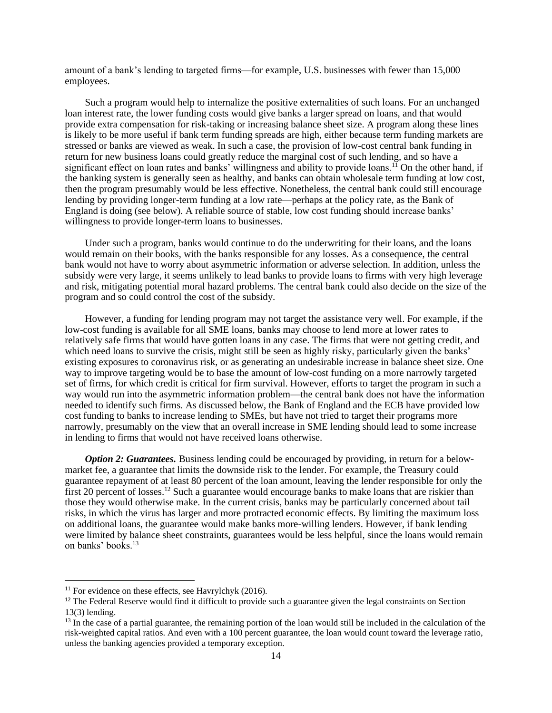amount of a bank's lending to targeted firms—for example, U.S. businesses with fewer than 15,000 employees.

Such a program would help to internalize the positive externalities of such loans. For an unchanged loan interest rate, the lower funding costs would give banks a larger spread on loans, and that would provide extra compensation for risk-taking or increasing balance sheet size. A program along these lines is likely to be more useful if bank term funding spreads are high, either because term funding markets are stressed or banks are viewed as weak. In such a case, the provision of low-cost central bank funding in return for new business loans could greatly reduce the marginal cost of such lending, and so have a significant effect on loan rates and banks' willingness and ability to provide loans.<sup>11</sup> On the other hand, if the banking system is generally seen as healthy, and banks can obtain wholesale term funding at low cost, then the program presumably would be less effective. Nonetheless, the central bank could still encourage lending by providing longer-term funding at a low rate—perhaps at the policy rate, as the Bank of England is doing (see below). A reliable source of stable, low cost funding should increase banks' willingness to provide longer-term loans to businesses.

Under such a program, banks would continue to do the underwriting for their loans, and the loans would remain on their books, with the banks responsible for any losses. As a consequence, the central bank would not have to worry about asymmetric information or adverse selection. In addition, unless the subsidy were very large, it seems unlikely to lead banks to provide loans to firms with very high leverage and risk, mitigating potential moral hazard problems. The central bank could also decide on the size of the program and so could control the cost of the subsidy.

However, a funding for lending program may not target the assistance very well. For example, if the low-cost funding is available for all SME loans, banks may choose to lend more at lower rates to relatively safe firms that would have gotten loans in any case. The firms that were not getting credit, and which need loans to survive the crisis, might still be seen as highly risky, particularly given the banks' existing exposures to coronavirus risk, or as generating an undesirable increase in balance sheet size. One way to improve targeting would be to base the amount of low-cost funding on a more narrowly targeted set of firms, for which credit is critical for firm survival. However, efforts to target the program in such a way would run into the asymmetric information problem—the central bank does not have the information needed to identify such firms. As discussed below, the Bank of England and the ECB have provided low cost funding to banks to increase lending to SMEs, but have not tried to target their programs more narrowly, presumably on the view that an overall increase in SME lending should lead to some increase in lending to firms that would not have received loans otherwise.

*Option 2: Guarantees.* Business lending could be encouraged by providing, in return for a belowmarket fee, a guarantee that limits the downside risk to the lender. For example, the Treasury could guarantee repayment of at least 80 percent of the loan amount, leaving the lender responsible for only the first 20 percent of losses.<sup>12</sup> Such a guarantee would encourage banks to make loans that are riskier than those they would otherwise make. In the current crisis, banks may be particularly concerned about tail risks, in which the virus has larger and more protracted economic effects. By limiting the maximum loss on additional loans, the guarantee would make banks more-willing lenders. However, if bank lending were limited by balance sheet constraints, guarantees would be less helpful, since the loans would remain on banks' books.<sup>13</sup>

 $11$  For evidence on these effects, see Havrylchyk (2016).

<sup>&</sup>lt;sup>12</sup> The Federal Reserve would find it difficult to provide such a guarantee given the legal constraints on Section 13(3) lending.

<sup>&</sup>lt;sup>13</sup> In the case of a partial guarantee, the remaining portion of the loan would still be included in the calculation of the risk-weighted capital ratios. And even with a 100 percent guarantee, the loan would count toward the leverage ratio, unless the banking agencies provided a temporary exception.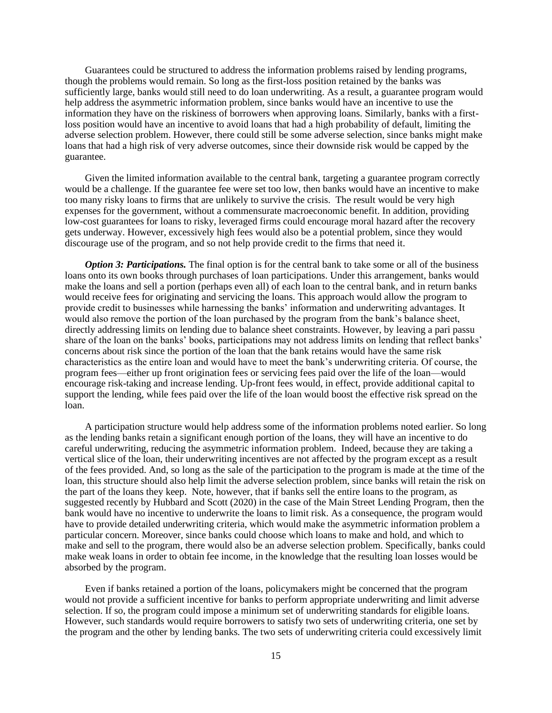Guarantees could be structured to address the information problems raised by lending programs, though the problems would remain. So long as the first-loss position retained by the banks was sufficiently large, banks would still need to do loan underwriting. As a result, a guarantee program would help address the asymmetric information problem, since banks would have an incentive to use the information they have on the riskiness of borrowers when approving loans. Similarly, banks with a firstloss position would have an incentive to avoid loans that had a high probability of default, limiting the adverse selection problem. However, there could still be some adverse selection, since banks might make loans that had a high risk of very adverse outcomes, since their downside risk would be capped by the guarantee.

Given the limited information available to the central bank, targeting a guarantee program correctly would be a challenge. If the guarantee fee were set too low, then banks would have an incentive to make too many risky loans to firms that are unlikely to survive the crisis. The result would be very high expenses for the government, without a commensurate macroeconomic benefit. In addition, providing low-cost guarantees for loans to risky, leveraged firms could encourage moral hazard after the recovery gets underway. However, excessively high fees would also be a potential problem, since they would discourage use of the program, and so not help provide credit to the firms that need it.

*Option 3: Participations.* The final option is for the central bank to take some or all of the business loans onto its own books through purchases of loan participations. Under this arrangement, banks would make the loans and sell a portion (perhaps even all) of each loan to the central bank, and in return banks would receive fees for originating and servicing the loans. This approach would allow the program to provide credit to businesses while harnessing the banks' information and underwriting advantages. It would also remove the portion of the loan purchased by the program from the bank's balance sheet, directly addressing limits on lending due to balance sheet constraints. However, by leaving a pari passu share of the loan on the banks' books, participations may not address limits on lending that reflect banks' concerns about risk since the portion of the loan that the bank retains would have the same risk characteristics as the entire loan and would have to meet the bank's underwriting criteria. Of course, the program fees—either up front origination fees or servicing fees paid over the life of the loan—would encourage risk-taking and increase lending. Up-front fees would, in effect, provide additional capital to support the lending, while fees paid over the life of the loan would boost the effective risk spread on the loan.

A participation structure would help address some of the information problems noted earlier. So long as the lending banks retain a significant enough portion of the loans, they will have an incentive to do careful underwriting, reducing the asymmetric information problem. Indeed, because they are taking a vertical slice of the loan, their underwriting incentives are not affected by the program except as a result of the fees provided. And, so long as the sale of the participation to the program is made at the time of the loan, this structure should also help limit the adverse selection problem, since banks will retain the risk on the part of the loans they keep. Note, however, that if banks sell the entire loans to the program, as suggested recently by Hubbard and Scott (2020) in the case of the Main Street Lending Program, then the bank would have no incentive to underwrite the loans to limit risk. As a consequence, the program would have to provide detailed underwriting criteria, which would make the asymmetric information problem a particular concern. Moreover, since banks could choose which loans to make and hold, and which to make and sell to the program, there would also be an adverse selection problem. Specifically, banks could make weak loans in order to obtain fee income, in the knowledge that the resulting loan losses would be absorbed by the program.

Even if banks retained a portion of the loans, policymakers might be concerned that the program would not provide a sufficient incentive for banks to perform appropriate underwriting and limit adverse selection. If so, the program could impose a minimum set of underwriting standards for eligible loans. However, such standards would require borrowers to satisfy two sets of underwriting criteria, one set by the program and the other by lending banks. The two sets of underwriting criteria could excessively limit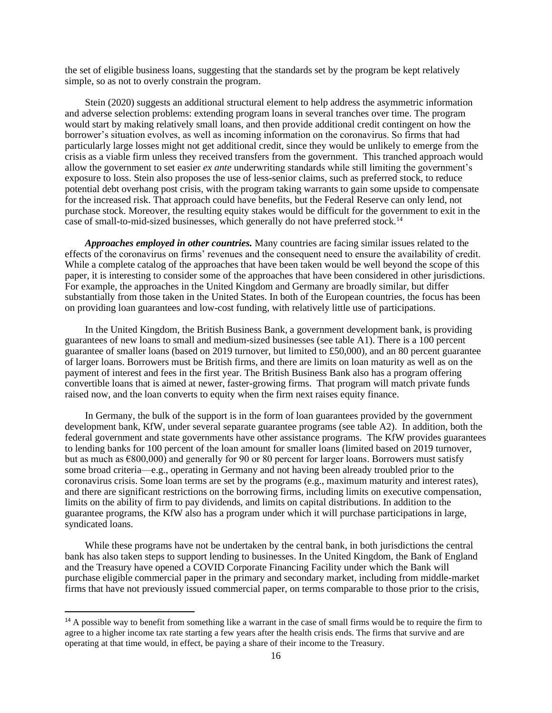the set of eligible business loans, suggesting that the standards set by the program be kept relatively simple, so as not to overly constrain the program.

Stein (2020) suggests an additional structural element to help address the asymmetric information and adverse selection problems: extending program loans in several tranches over time. The program would start by making relatively small loans, and then provide additional credit contingent on how the borrower's situation evolves, as well as incoming information on the coronavirus. So firms that had particularly large losses might not get additional credit, since they would be unlikely to emerge from the crisis as a viable firm unless they received transfers from the government. This tranched approach would allow the government to set easier *ex ante* underwriting standards while still limiting the government's exposure to loss. Stein also proposes the use of less-senior claims, such as preferred stock, to reduce potential debt overhang post crisis, with the program taking warrants to gain some upside to compensate for the increased risk. That approach could have benefits, but the Federal Reserve can only lend, not purchase stock. Moreover, the resulting equity stakes would be difficult for the government to exit in the case of small-to-mid-sized businesses, which generally do not have preferred stock.<sup>14</sup>

*Approaches employed in other countries.* Many countries are facing similar issues related to the effects of the coronavirus on firms' revenues and the consequent need to ensure the availability of credit. While a complete catalog of the approaches that have been taken would be well beyond the scope of this paper, it is interesting to consider some of the approaches that have been considered in other jurisdictions. For example, the approaches in the United Kingdom and Germany are broadly similar, but differ substantially from those taken in the United States. In both of the European countries, the focus has been on providing loan guarantees and low-cost funding, with relatively little use of participations.

In the United Kingdom, the British Business Bank, a government development bank, is providing guarantees of new loans to small and medium-sized businesses (see table A1). There is a 100 percent guarantee of smaller loans (based on 2019 turnover, but limited to £50,000), and an 80 percent guarantee of larger loans. Borrowers must be British firms, and there are limits on loan maturity as well as on the payment of interest and fees in the first year. The British Business Bank also has a program offering convertible loans that is aimed at newer, faster-growing firms. That program will match private funds raised now, and the loan converts to equity when the firm next raises equity finance.

In Germany, the bulk of the support is in the form of loan guarantees provided by the government development bank, KfW, under several separate guarantee programs (see table A2). In addition, both the federal government and state governments have other assistance programs. The KfW provides guarantees to lending banks for 100 percent of the loan amount for smaller loans (limited based on 2019 turnover, but as much as €800,000) and generally for 90 or 80 percent for larger loans. Borrowers must satisfy some broad criteria—e.g., operating in Germany and not having been already troubled prior to the coronavirus crisis. Some loan terms are set by the programs (e.g., maximum maturity and interest rates), and there are significant restrictions on the borrowing firms, including limits on executive compensation, limits on the ability of firm to pay dividends, and limits on capital distributions. In addition to the guarantee programs, the KfW also has a program under which it will purchase participations in large, syndicated loans.

While these programs have not be undertaken by the central bank, in both jurisdictions the central bank has also taken steps to support lending to businesses. In the United Kingdom, the Bank of England and the Treasury have opened a COVID Corporate Financing Facility under which the Bank will purchase eligible commercial paper in the primary and secondary market, including from middle-market firms that have not previously issued commercial paper, on terms comparable to those prior to the crisis,

<sup>&</sup>lt;sup>14</sup> A possible way to benefit from something like a warrant in the case of small firms would be to require the firm to agree to a higher income tax rate starting a few years after the health crisis ends. The firms that survive and are operating at that time would, in effect, be paying a share of their income to the Treasury.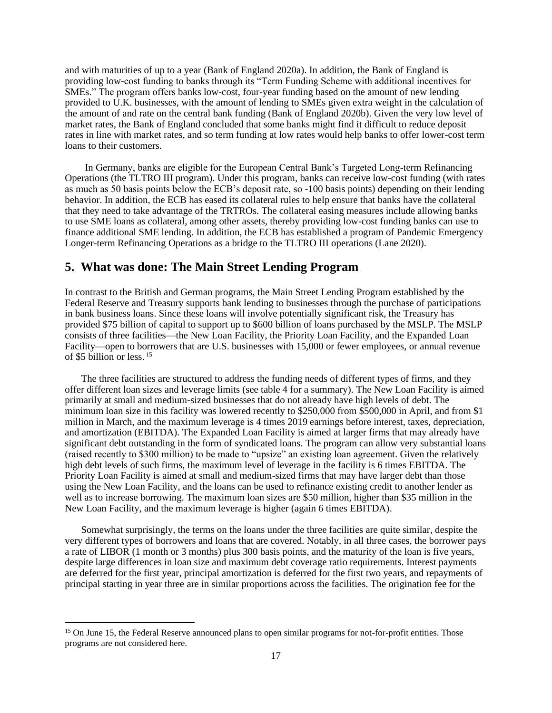and with maturities of up to a year (Bank of England 2020a). In addition, the Bank of England is providing low-cost funding to banks through its "Term Funding Scheme with additional incentives for SMEs." The program offers banks low-cost, four-year funding based on the amount of new lending provided to U.K. businesses, with the amount of lending to SMEs given extra weight in the calculation of the amount of and rate on the central bank funding (Bank of England 2020b). Given the very low level of market rates, the Bank of England concluded that some banks might find it difficult to reduce deposit rates in line with market rates, and so term funding at low rates would help banks to offer lower-cost term loans to their customers.

In Germany, banks are eligible for the European Central Bank's Targeted Long-term Refinancing Operations (the TLTRO III program). Under this program, banks can receive low-cost funding (with rates as much as 50 basis points below the ECB's deposit rate, so -100 basis points) depending on their lending behavior. In addition, the ECB has eased its collateral rules to help ensure that banks have the collateral that they need to take advantage of the TRTROs. The collateral easing measures include allowing banks to use SME loans as collateral, among other assets, thereby providing low-cost funding banks can use to finance additional SME lending. In addition, the ECB has established a program of Pandemic Emergency Longer-term Refinancing Operations as a bridge to the TLTRO III operations (Lane 2020).

### **5. What was done: The Main Street Lending Program**

In contrast to the British and German programs, the Main Street Lending Program established by the Federal Reserve and Treasury supports bank lending to businesses through the purchase of participations in bank business loans. Since these loans will involve potentially significant risk, the Treasury has provided \$75 billion of capital to support up to \$600 billion of loans purchased by the MSLP. The MSLP consists of three facilities—the New Loan Facility, the Priority Loan Facility, and the Expanded Loan Facility—open to borrowers that are U.S. businesses with 15,000 or fewer employees, or annual revenue of \$5 billion or less. <sup>15</sup>

The three facilities are structured to address the funding needs of different types of firms, and they offer different loan sizes and leverage limits (see table 4 for a summary). The New Loan Facility is aimed primarily at small and medium-sized businesses that do not already have high levels of debt. The minimum loan size in this facility was lowered recently to \$250,000 from \$500,000 in April, and from \$1 million in March, and the maximum leverage is 4 times 2019 earnings before interest, taxes, depreciation, and amortization (EBITDA). The Expanded Loan Facility is aimed at larger firms that may already have significant debt outstanding in the form of syndicated loans. The program can allow very substantial loans (raised recently to \$300 million) to be made to "upsize" an existing loan agreement. Given the relatively high debt levels of such firms, the maximum level of leverage in the facility is 6 times EBITDA. The Priority Loan Facility is aimed at small and medium-sized firms that may have larger debt than those using the New Loan Facility, and the loans can be used to refinance existing credit to another lender as well as to increase borrowing. The maximum loan sizes are \$50 million, higher than \$35 million in the New Loan Facility, and the maximum leverage is higher (again 6 times EBITDA).

Somewhat surprisingly, the terms on the loans under the three facilities are quite similar, despite the very different types of borrowers and loans that are covered. Notably, in all three cases, the borrower pays a rate of LIBOR (1 month or 3 months) plus 300 basis points, and the maturity of the loan is five years, despite large differences in loan size and maximum debt coverage ratio requirements. Interest payments are deferred for the first year, principal amortization is deferred for the first two years, and repayments of principal starting in year three are in similar proportions across the facilities. The origination fee for the

<sup>&</sup>lt;sup>15</sup> On June 15, the Federal Reserve announced plans to open similar programs for not-for-profit entities. Those programs are not considered here.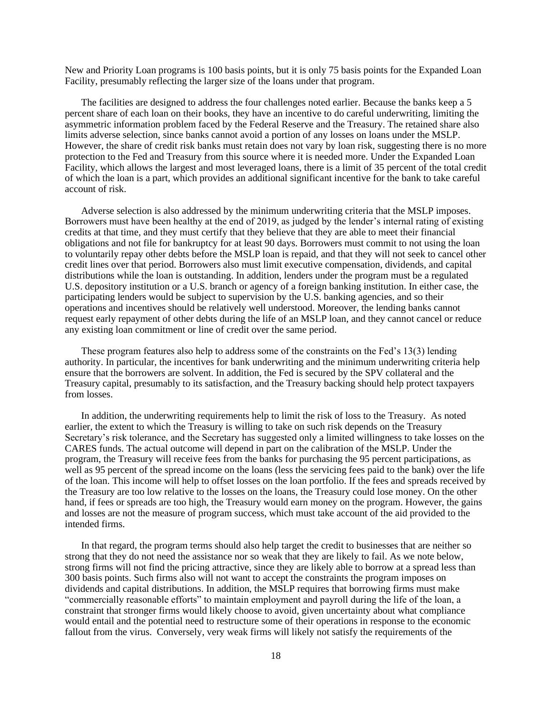New and Priority Loan programs is 100 basis points, but it is only 75 basis points for the Expanded Loan Facility, presumably reflecting the larger size of the loans under that program.

The facilities are designed to address the four challenges noted earlier. Because the banks keep a 5 percent share of each loan on their books, they have an incentive to do careful underwriting, limiting the asymmetric information problem faced by the Federal Reserve and the Treasury. The retained share also limits adverse selection, since banks cannot avoid a portion of any losses on loans under the MSLP. However, the share of credit risk banks must retain does not vary by loan risk, suggesting there is no more protection to the Fed and Treasury from this source where it is needed more. Under the Expanded Loan Facility, which allows the largest and most leveraged loans, there is a limit of 35 percent of the total credit of which the loan is a part, which provides an additional significant incentive for the bank to take careful account of risk.

Adverse selection is also addressed by the minimum underwriting criteria that the MSLP imposes. Borrowers must have been healthy at the end of 2019, as judged by the lender's internal rating of existing credits at that time, and they must certify that they believe that they are able to meet their financial obligations and not file for bankruptcy for at least 90 days. Borrowers must commit to not using the loan to voluntarily repay other debts before the MSLP loan is repaid, and that they will not seek to cancel other credit lines over that period. Borrowers also must limit executive compensation, dividends, and capital distributions while the loan is outstanding. In addition, lenders under the program must be a regulated U.S. depository institution or a U.S. branch or agency of a foreign banking institution. In either case, the participating lenders would be subject to supervision by the U.S. banking agencies, and so their operations and incentives should be relatively well understood. Moreover, the lending banks cannot request early repayment of other debts during the life of an MSLP loan, and they cannot cancel or reduce any existing loan commitment or line of credit over the same period.

These program features also help to address some of the constraints on the Fed's 13(3) lending authority. In particular, the incentives for bank underwriting and the minimum underwriting criteria help ensure that the borrowers are solvent. In addition, the Fed is secured by the SPV collateral and the Treasury capital, presumably to its satisfaction, and the Treasury backing should help protect taxpayers from losses.

In addition, the underwriting requirements help to limit the risk of loss to the Treasury. As noted earlier, the extent to which the Treasury is willing to take on such risk depends on the Treasury Secretary's risk tolerance, and the Secretary has suggested only a limited willingness to take losses on the CARES funds. The actual outcome will depend in part on the calibration of the MSLP. Under the program, the Treasury will receive fees from the banks for purchasing the 95 percent participations, as well as 95 percent of the spread income on the loans (less the servicing fees paid to the bank) over the life of the loan. This income will help to offset losses on the loan portfolio. If the fees and spreads received by the Treasury are too low relative to the losses on the loans, the Treasury could lose money. On the other hand, if fees or spreads are too high, the Treasury would earn money on the program. However, the gains and losses are not the measure of program success, which must take account of the aid provided to the intended firms.

In that regard, the program terms should also help target the credit to businesses that are neither so strong that they do not need the assistance nor so weak that they are likely to fail. As we note below, strong firms will not find the pricing attractive, since they are likely able to borrow at a spread less than 300 basis points. Such firms also will not want to accept the constraints the program imposes on dividends and capital distributions. In addition, the MSLP requires that borrowing firms must make "commercially reasonable efforts" to maintain employment and payroll during the life of the loan, a constraint that stronger firms would likely choose to avoid, given uncertainty about what compliance would entail and the potential need to restructure some of their operations in response to the economic fallout from the virus. Conversely, very weak firms will likely not satisfy the requirements of the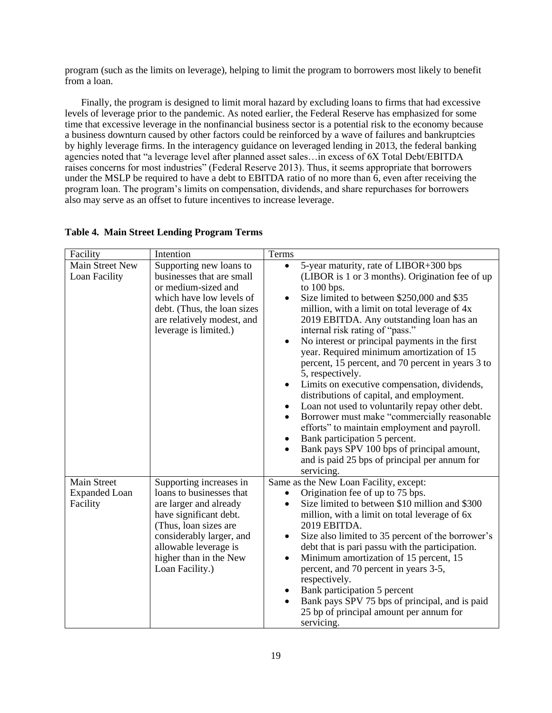program (such as the limits on leverage), helping to limit the program to borrowers most likely to benefit from a loan.

Finally, the program is designed to limit moral hazard by excluding loans to firms that had excessive levels of leverage prior to the pandemic. As noted earlier, the Federal Reserve has emphasized for some time that excessive leverage in the nonfinancial business sector is a potential risk to the economy because a business downturn caused by other factors could be reinforced by a wave of failures and bankruptcies by highly leverage firms. In the interagency guidance on leveraged lending in 2013, the federal banking agencies noted that "a leverage level after planned asset sales…in excess of 6X Total Debt/EBITDA raises concerns for most industries" (Federal Reserve 2013). Thus, it seems appropriate that borrowers under the MSLP be required to have a debt to EBITDA ratio of no more than 6, even after receiving the program loan. The program's limits on compensation, dividends, and share repurchases for borrowers also may serve as an offset to future incentives to increase leverage.

| Facility                                               | Intention                                                                                                                                                                                                                          | Terms                                                                                                                                                                                                                                                                                                                                                                                                                                                                                                                                                                                                                                                                                                                                                                                                                                                                                                                                    |
|--------------------------------------------------------|------------------------------------------------------------------------------------------------------------------------------------------------------------------------------------------------------------------------------------|------------------------------------------------------------------------------------------------------------------------------------------------------------------------------------------------------------------------------------------------------------------------------------------------------------------------------------------------------------------------------------------------------------------------------------------------------------------------------------------------------------------------------------------------------------------------------------------------------------------------------------------------------------------------------------------------------------------------------------------------------------------------------------------------------------------------------------------------------------------------------------------------------------------------------------------|
| Main Street New<br>Loan Facility                       | Supporting new loans to<br>businesses that are small<br>or medium-sized and<br>which have low levels of<br>debt. (Thus, the loan sizes<br>are relatively modest, and<br>leverage is limited.)                                      | 5-year maturity, rate of LIBOR+300 bps<br>$\bullet$<br>(LIBOR is 1 or 3 months). Origination fee of up<br>to 100 bps.<br>Size limited to between \$250,000 and \$35<br>$\bullet$<br>million, with a limit on total leverage of 4x<br>2019 EBITDA. Any outstanding loan has an<br>internal risk rating of "pass."<br>No interest or principal payments in the first<br>$\bullet$<br>year. Required minimum amortization of 15<br>percent, 15 percent, and 70 percent in years 3 to<br>5, respectively.<br>Limits on executive compensation, dividends,<br>$\bullet$<br>distributions of capital, and employment.<br>Loan not used to voluntarily repay other debt.<br>$\bullet$<br>Borrower must make "commercially reasonable<br>efforts" to maintain employment and payroll.<br>Bank participation 5 percent.<br>$\bullet$<br>Bank pays SPV 100 bps of principal amount,<br>and is paid 25 bps of principal per annum for<br>servicing. |
| <b>Main Street</b><br><b>Expanded Loan</b><br>Facility | Supporting increases in<br>loans to businesses that<br>are larger and already<br>have significant debt.<br>(Thus, loan sizes are<br>considerably larger, and<br>allowable leverage is<br>higher than in the New<br>Loan Facility.) | Same as the New Loan Facility, except:<br>Origination fee of up to 75 bps.<br>Size limited to between \$10 million and \$300<br>$\bullet$<br>million, with a limit on total leverage of 6x<br>2019 EBITDA.<br>Size also limited to 35 percent of the borrower's<br>$\bullet$<br>debt that is pari passu with the participation.<br>Minimum amortization of 15 percent, 15<br>$\bullet$<br>percent, and 70 percent in years 3-5,<br>respectively.<br>Bank participation 5 percent<br>Bank pays SPV 75 bps of principal, and is paid<br>25 bp of principal amount per annum for<br>servicing.                                                                                                                                                                                                                                                                                                                                              |

#### **Table 4. Main Street Lending Program Terms**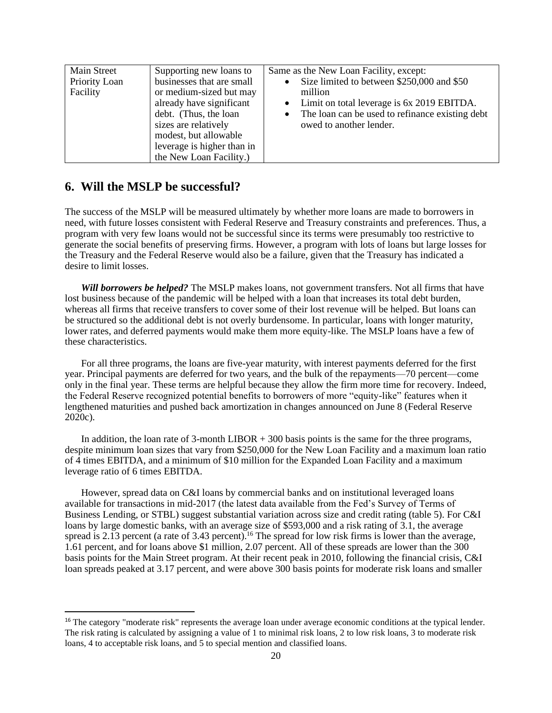| Main Street   | Supporting new loans to    | Same as the New Loan Facility, except:                       |
|---------------|----------------------------|--------------------------------------------------------------|
| Priority Loan | businesses that are small  | Size limited to between \$250,000 and \$50<br>$\bullet$      |
| Facility      | or medium-sized but may    | million                                                      |
|               | already have significant   | • Limit on total leverage is 6x 2019 EBITDA.                 |
|               | debt. (Thus, the loan      | The loan can be used to refinance existing debt<br>$\bullet$ |
|               | sizes are relatively       | owed to another lender.                                      |
|               | modest, but allowable      |                                                              |
|               | leverage is higher than in |                                                              |
|               | the New Loan Facility.)    |                                                              |

## **6. Will the MSLP be successful?**

The success of the MSLP will be measured ultimately by whether more loans are made to borrowers in need, with future losses consistent with Federal Reserve and Treasury constraints and preferences. Thus, a program with very few loans would not be successful since its terms were presumably too restrictive to generate the social benefits of preserving firms. However, a program with lots of loans but large losses for the Treasury and the Federal Reserve would also be a failure, given that the Treasury has indicated a desire to limit losses.

*Will borrowers be helped?* The MSLP makes loans, not government transfers. Not all firms that have lost business because of the pandemic will be helped with a loan that increases its total debt burden, whereas all firms that receive transfers to cover some of their lost revenue will be helped. But loans can be structured so the additional debt is not overly burdensome. In particular, loans with longer maturity, lower rates, and deferred payments would make them more equity-like. The MSLP loans have a few of these characteristics.

For all three programs, the loans are five-year maturity, with interest payments deferred for the first year. Principal payments are deferred for two years, and the bulk of the repayments—70 percent—come only in the final year. These terms are helpful because they allow the firm more time for recovery. Indeed, the Federal Reserve recognized potential benefits to borrowers of more "equity-like" features when it lengthened maturities and pushed back amortization in changes announced on June 8 (Federal Reserve 2020c).

In addition, the loan rate of 3-month LIBOR  $+$  300 basis points is the same for the three programs, despite minimum loan sizes that vary from \$250,000 for the New Loan Facility and a maximum loan ratio of 4 times EBITDA, and a minimum of \$10 million for the Expanded Loan Facility and a maximum leverage ratio of 6 times EBITDA.

However, spread data on C&I loans by commercial banks and on institutional leveraged loans available for transactions in mid-2017 (the latest data available from the Fed's Survey of Terms of Business Lending, or STBL) suggest substantial variation across size and credit rating (table 5). For C&I loans by large domestic banks, with an average size of \$593,000 and a risk rating of 3.1, the average spread is 2.13 percent (a rate of 3.43 percent).<sup>16</sup> The spread for low risk firms is lower than the average, 1.61 percent, and for loans above \$1 million, 2.07 percent. All of these spreads are lower than the 300 basis points for the Main Street program. At their recent peak in 2010, following the financial crisis, C&I loan spreads peaked at 3.17 percent, and were above 300 basis points for moderate risk loans and smaller

<sup>&</sup>lt;sup>16</sup> The category "moderate risk" represents the average loan under average economic conditions at the typical lender. The risk rating is calculated by assigning a value of 1 to minimal risk loans, 2 to low risk loans, 3 to moderate risk loans, 4 to acceptable risk loans, and 5 to special mention and classified loans.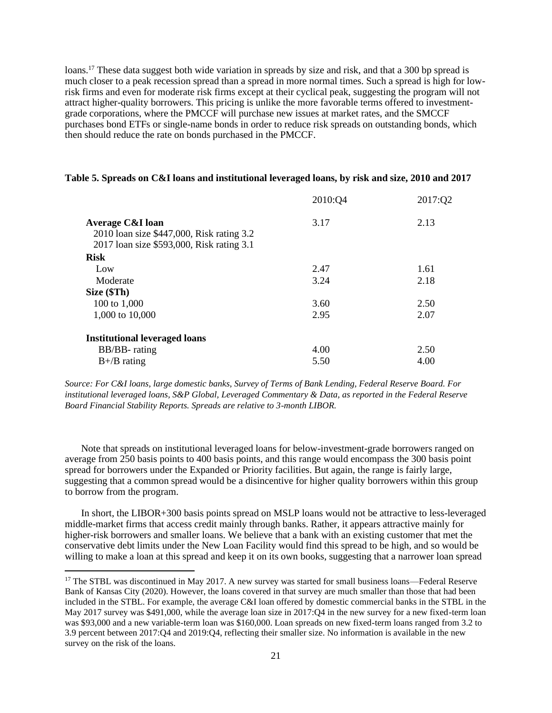loans.<sup>17</sup> These data suggest both wide variation in spreads by size and risk, and that a 300 bp spread is much closer to a peak recession spread than a spread in more normal times. Such a spread is high for lowrisk firms and even for moderate risk firms except at their cyclical peak, suggesting the program will not attract higher-quality borrowers. This pricing is unlike the more favorable terms offered to investmentgrade corporations, where the PMCCF will purchase new issues at market rates, and the SMCCF purchases bond ETFs or single-name bonds in order to reduce risk spreads on outstanding bonds, which then should reduce the rate on bonds purchased in the PMCCF.

|  |  |  | Table 5. Spreads on C&I loans and institutional leveraged loans, by risk and size, 2010 and 2017 |
|--|--|--|--------------------------------------------------------------------------------------------------|
|  |  |  |                                                                                                  |

| 2010:Q4 | 2017:Q2 |
|---------|---------|
| 3.17    | 2.13    |
|         |         |
| 2.47    | 1.61    |
| 3.24    | 2.18    |
|         |         |
| 3.60    | 2.50    |
| 2.95    | 2.07    |
|         |         |
| 4.00    | 2.50    |
| 5.50    | 4.00    |
|         |         |

*Source: For C&I loans, large domestic banks, Survey of Terms of Bank Lending, Federal Reserve Board. For institutional leveraged loans, S&P Global, Leveraged Commentary & Data, as reported in the Federal Reserve Board Financial Stability Reports. Spreads are relative to 3-month LIBOR.*

Note that spreads on institutional leveraged loans for below-investment-grade borrowers ranged on average from 250 basis points to 400 basis points, and this range would encompass the 300 basis point spread for borrowers under the Expanded or Priority facilities. But again, the range is fairly large, suggesting that a common spread would be a disincentive for higher quality borrowers within this group to borrow from the program.

In short, the LIBOR+300 basis points spread on MSLP loans would not be attractive to less-leveraged middle-market firms that access credit mainly through banks. Rather, it appears attractive mainly for higher-risk borrowers and smaller loans. We believe that a bank with an existing customer that met the conservative debt limits under the New Loan Facility would find this spread to be high, and so would be willing to make a loan at this spread and keep it on its own books, suggesting that a narrower loan spread

<sup>&</sup>lt;sup>17</sup> The STBL was discontinued in May 2017. A new survey was started for small business loans—Federal Reserve Bank of Kansas City (2020). However, the loans covered in that survey are much smaller than those that had been included in the STBL. For example, the average C&I loan offered by domestic commercial banks in the STBL in the May 2017 survey was \$491,000, while the average loan size in 2017:Q4 in the new survey for a new fixed-term loan was \$93,000 and a new variable-term loan was \$160,000. Loan spreads on new fixed-term loans ranged from 3.2 to 3.9 percent between 2017:Q4 and 2019:Q4, reflecting their smaller size. No information is available in the new survey on the risk of the loans.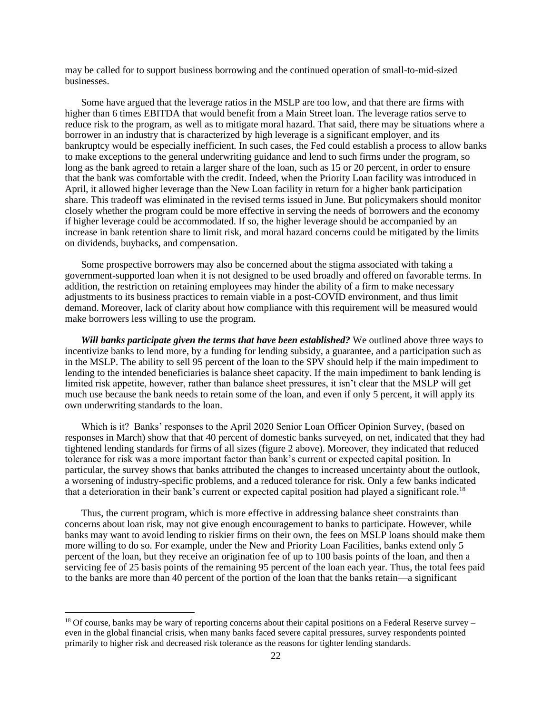may be called for to support business borrowing and the continued operation of small-to-mid-sized businesses.

Some have argued that the leverage ratios in the MSLP are too low, and that there are firms with higher than 6 times EBITDA that would benefit from a Main Street loan. The leverage ratios serve to reduce risk to the program, as well as to mitigate moral hazard. That said, there may be situations where a borrower in an industry that is characterized by high leverage is a significant employer, and its bankruptcy would be especially inefficient. In such cases, the Fed could establish a process to allow banks to make exceptions to the general underwriting guidance and lend to such firms under the program, so long as the bank agreed to retain a larger share of the loan, such as 15 or 20 percent, in order to ensure that the bank was comfortable with the credit. Indeed, when the Priority Loan facility was introduced in April, it allowed higher leverage than the New Loan facility in return for a higher bank participation share. This tradeoff was eliminated in the revised terms issued in June. But policymakers should monitor closely whether the program could be more effective in serving the needs of borrowers and the economy if higher leverage could be accommodated. If so, the higher leverage should be accompanied by an increase in bank retention share to limit risk, and moral hazard concerns could be mitigated by the limits on dividends, buybacks, and compensation.

Some prospective borrowers may also be concerned about the stigma associated with taking a government-supported loan when it is not designed to be used broadly and offered on favorable terms. In addition, the restriction on retaining employees may hinder the ability of a firm to make necessary adjustments to its business practices to remain viable in a post-COVID environment, and thus limit demand. Moreover, lack of clarity about how compliance with this requirement will be measured would make borrowers less willing to use the program.

*Will banks participate given the terms that have been established?* We outlined above three ways to incentivize banks to lend more, by a funding for lending subsidy, a guarantee, and a participation such as in the MSLP. The ability to sell 95 percent of the loan to the SPV should help if the main impediment to lending to the intended beneficiaries is balance sheet capacity. If the main impediment to bank lending is limited risk appetite, however, rather than balance sheet pressures, it isn't clear that the MSLP will get much use because the bank needs to retain some of the loan, and even if only 5 percent, it will apply its own underwriting standards to the loan.

Which is it? Banks' responses to the April 2020 Senior Loan Officer Opinion Survey, (based on responses in March) show that that 40 percent of domestic banks surveyed, on net, indicated that they had tightened lending standards for firms of all sizes (figure 2 above). Moreover, they indicated that reduced tolerance for risk was a more important factor than bank's current or expected capital position. In particular, the survey shows that banks attributed the changes to increased uncertainty about the outlook, a worsening of industry-specific problems, and a reduced tolerance for risk. Only a few banks indicated that a deterioration in their bank's current or expected capital position had played a significant role.<sup>18</sup>

Thus, the current program, which is more effective in addressing balance sheet constraints than concerns about loan risk, may not give enough encouragement to banks to participate. However, while banks may want to avoid lending to riskier firms on their own, the fees on MSLP loans should make them more willing to do so. For example, under the New and Priority Loan Facilities, banks extend only 5 percent of the loan, but they receive an origination fee of up to 100 basis points of the loan, and then a servicing fee of 25 basis points of the remaining 95 percent of the loan each year. Thus, the total fees paid to the banks are more than 40 percent of the portion of the loan that the banks retain—a significant

 $18$  Of course, banks may be wary of reporting concerns about their capital positions on a Federal Reserve survey – even in the global financial crisis, when many banks faced severe capital pressures, survey respondents pointed primarily to higher risk and decreased risk tolerance as the reasons for tighter lending standards.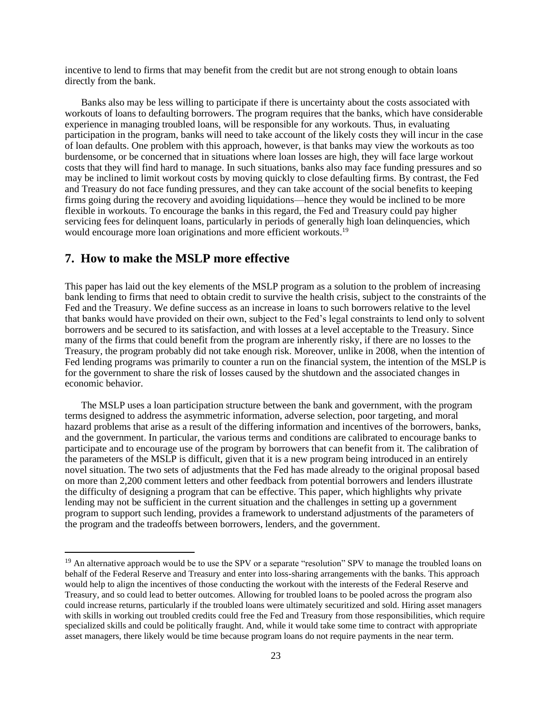incentive to lend to firms that may benefit from the credit but are not strong enough to obtain loans directly from the bank.

Banks also may be less willing to participate if there is uncertainty about the costs associated with workouts of loans to defaulting borrowers. The program requires that the banks, which have considerable experience in managing troubled loans, will be responsible for any workouts. Thus, in evaluating participation in the program, banks will need to take account of the likely costs they will incur in the case of loan defaults. One problem with this approach, however, is that banks may view the workouts as too burdensome, or be concerned that in situations where loan losses are high, they will face large workout costs that they will find hard to manage. In such situations, banks also may face funding pressures and so may be inclined to limit workout costs by moving quickly to close defaulting firms. By contrast, the Fed and Treasury do not face funding pressures, and they can take account of the social benefits to keeping firms going during the recovery and avoiding liquidations—hence they would be inclined to be more flexible in workouts. To encourage the banks in this regard, the Fed and Treasury could pay higher servicing fees for delinquent loans, particularly in periods of generally high loan delinquencies, which would encourage more loan originations and more efficient workouts.<sup>19</sup>

## **7. How to make the MSLP more effective**

This paper has laid out the key elements of the MSLP program as a solution to the problem of increasing bank lending to firms that need to obtain credit to survive the health crisis, subject to the constraints of the Fed and the Treasury. We define success as an increase in loans to such borrowers relative to the level that banks would have provided on their own, subject to the Fed's legal constraints to lend only to solvent borrowers and be secured to its satisfaction, and with losses at a level acceptable to the Treasury. Since many of the firms that could benefit from the program are inherently risky, if there are no losses to the Treasury, the program probably did not take enough risk. Moreover, unlike in 2008, when the intention of Fed lending programs was primarily to counter a run on the financial system, the intention of the MSLP is for the government to share the risk of losses caused by the shutdown and the associated changes in economic behavior.

The MSLP uses a loan participation structure between the bank and government, with the program terms designed to address the asymmetric information, adverse selection, poor targeting, and moral hazard problems that arise as a result of the differing information and incentives of the borrowers, banks, and the government. In particular, the various terms and conditions are calibrated to encourage banks to participate and to encourage use of the program by borrowers that can benefit from it. The calibration of the parameters of the MSLP is difficult, given that it is a new program being introduced in an entirely novel situation. The two sets of adjustments that the Fed has made already to the original proposal based on more than 2,200 comment letters and other feedback from potential borrowers and lenders illustrate the difficulty of designing a program that can be effective. This paper, which highlights why private lending may not be sufficient in the current situation and the challenges in setting up a government program to support such lending, provides a framework to understand adjustments of the parameters of the program and the tradeoffs between borrowers, lenders, and the government.

 $19$  An alternative approach would be to use the SPV or a separate "resolution" SPV to manage the troubled loans on behalf of the Federal Reserve and Treasury and enter into loss-sharing arrangements with the banks. This approach would help to align the incentives of those conducting the workout with the interests of the Federal Reserve and Treasury, and so could lead to better outcomes. Allowing for troubled loans to be pooled across the program also could increase returns, particularly if the troubled loans were ultimately securitized and sold. Hiring asset managers with skills in working out troubled credits could free the Fed and Treasury from those responsibilities, which require specialized skills and could be politically fraught. And, while it would take some time to contract with appropriate asset managers, there likely would be time because program loans do not require payments in the near term.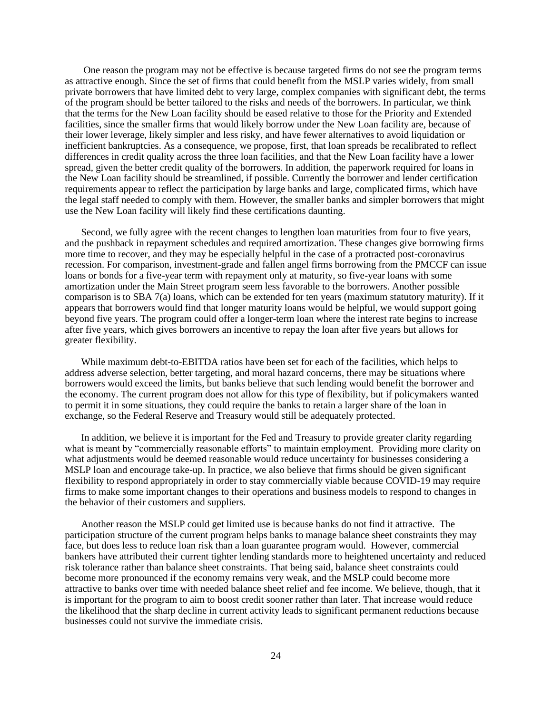One reason the program may not be effective is because targeted firms do not see the program terms as attractive enough. Since the set of firms that could benefit from the MSLP varies widely, from small private borrowers that have limited debt to very large, complex companies with significant debt, the terms of the program should be better tailored to the risks and needs of the borrowers. In particular, we think that the terms for the New Loan facility should be eased relative to those for the Priority and Extended facilities, since the smaller firms that would likely borrow under the New Loan facility are, because of their lower leverage, likely simpler and less risky, and have fewer alternatives to avoid liquidation or inefficient bankruptcies. As a consequence, we propose, first, that loan spreads be recalibrated to reflect differences in credit quality across the three loan facilities, and that the New Loan facility have a lower spread, given the better credit quality of the borrowers. In addition, the paperwork required for loans in the New Loan facility should be streamlined, if possible. Currently the borrower and lender certification requirements appear to reflect the participation by large banks and large, complicated firms, which have the legal staff needed to comply with them. However, the smaller banks and simpler borrowers that might use the New Loan facility will likely find these certifications daunting.

Second, we fully agree with the recent changes to lengthen loan maturities from four to five years, and the pushback in repayment schedules and required amortization. These changes give borrowing firms more time to recover, and they may be especially helpful in the case of a protracted post-coronavirus recession. For comparison, investment-grade and fallen angel firms borrowing from the PMCCF can issue loans or bonds for a five-year term with repayment only at maturity, so five-year loans with some amortization under the Main Street program seem less favorable to the borrowers. Another possible comparison is to SBA 7(a) loans, which can be extended for ten years (maximum statutory maturity). If it appears that borrowers would find that longer maturity loans would be helpful, we would support going beyond five years. The program could offer a longer-term loan where the interest rate begins to increase after five years, which gives borrowers an incentive to repay the loan after five years but allows for greater flexibility.

While maximum debt-to-EBITDA ratios have been set for each of the facilities, which helps to address adverse selection, better targeting, and moral hazard concerns, there may be situations where borrowers would exceed the limits, but banks believe that such lending would benefit the borrower and the economy. The current program does not allow for this type of flexibility, but if policymakers wanted to permit it in some situations, they could require the banks to retain a larger share of the loan in exchange, so the Federal Reserve and Treasury would still be adequately protected.

In addition, we believe it is important for the Fed and Treasury to provide greater clarity regarding what is meant by "commercially reasonable efforts" to maintain employment. Providing more clarity on what adjustments would be deemed reasonable would reduce uncertainty for businesses considering a MSLP loan and encourage take-up. In practice, we also believe that firms should be given significant flexibility to respond appropriately in order to stay commercially viable because COVID-19 may require firms to make some important changes to their operations and business models to respond to changes in the behavior of their customers and suppliers.

Another reason the MSLP could get limited use is because banks do not find it attractive. The participation structure of the current program helps banks to manage balance sheet constraints they may face, but does less to reduce loan risk than a loan guarantee program would. However, commercial bankers have attributed their current tighter lending standards more to heightened uncertainty and reduced risk tolerance rather than balance sheet constraints. That being said, balance sheet constraints could become more pronounced if the economy remains very weak, and the MSLP could become more attractive to banks over time with needed balance sheet relief and fee income. We believe, though, that it is important for the program to aim to boost credit sooner rather than later. That increase would reduce the likelihood that the sharp decline in current activity leads to significant permanent reductions because businesses could not survive the immediate crisis.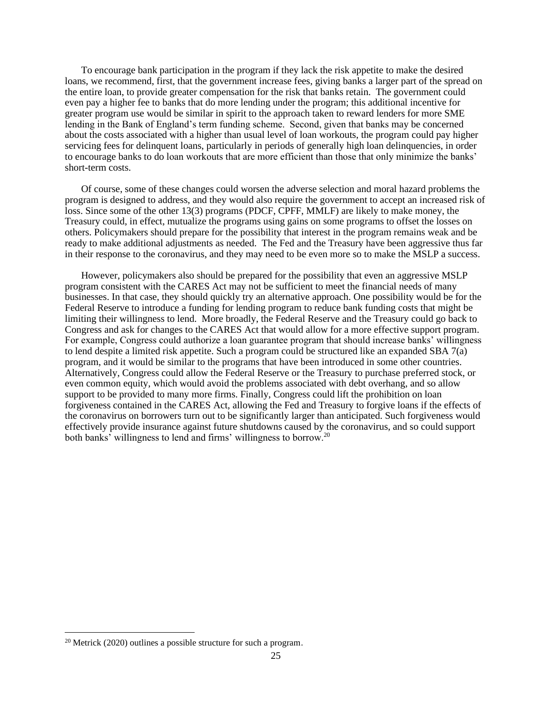To encourage bank participation in the program if they lack the risk appetite to make the desired loans, we recommend, first, that the government increase fees, giving banks a larger part of the spread on the entire loan, to provide greater compensation for the risk that banks retain. The government could even pay a higher fee to banks that do more lending under the program; this additional incentive for greater program use would be similar in spirit to the approach taken to reward lenders for more SME lending in the Bank of England's term funding scheme. Second, given that banks may be concerned about the costs associated with a higher than usual level of loan workouts, the program could pay higher servicing fees for delinquent loans, particularly in periods of generally high loan delinquencies, in order to encourage banks to do loan workouts that are more efficient than those that only minimize the banks' short-term costs.

Of course, some of these changes could worsen the adverse selection and moral hazard problems the program is designed to address, and they would also require the government to accept an increased risk of loss. Since some of the other 13(3) programs (PDCF, CPFF, MMLF) are likely to make money, the Treasury could, in effect, mutualize the programs using gains on some programs to offset the losses on others. Policymakers should prepare for the possibility that interest in the program remains weak and be ready to make additional adjustments as needed. The Fed and the Treasury have been aggressive thus far in their response to the coronavirus, and they may need to be even more so to make the MSLP a success.

However, policymakers also should be prepared for the possibility that even an aggressive MSLP program consistent with the CARES Act may not be sufficient to meet the financial needs of many businesses. In that case, they should quickly try an alternative approach. One possibility would be for the Federal Reserve to introduce a funding for lending program to reduce bank funding costs that might be limiting their willingness to lend. More broadly, the Federal Reserve and the Treasury could go back to Congress and ask for changes to the CARES Act that would allow for a more effective support program. For example, Congress could authorize a loan guarantee program that should increase banks' willingness to lend despite a limited risk appetite. Such a program could be structured like an expanded SBA 7(a) program, and it would be similar to the programs that have been introduced in some other countries. Alternatively, Congress could allow the Federal Reserve or the Treasury to purchase preferred stock, or even common equity, which would avoid the problems associated with debt overhang, and so allow support to be provided to many more firms. Finally, Congress could lift the prohibition on loan forgiveness contained in the CARES Act, allowing the Fed and Treasury to forgive loans if the effects of the coronavirus on borrowers turn out to be significantly larger than anticipated. Such forgiveness would effectively provide insurance against future shutdowns caused by the coronavirus, and so could support both banks' willingness to lend and firms' willingness to borrow.<sup>20</sup>

<sup>20</sup> Metrick (2020) outlines a possible structure for such a program.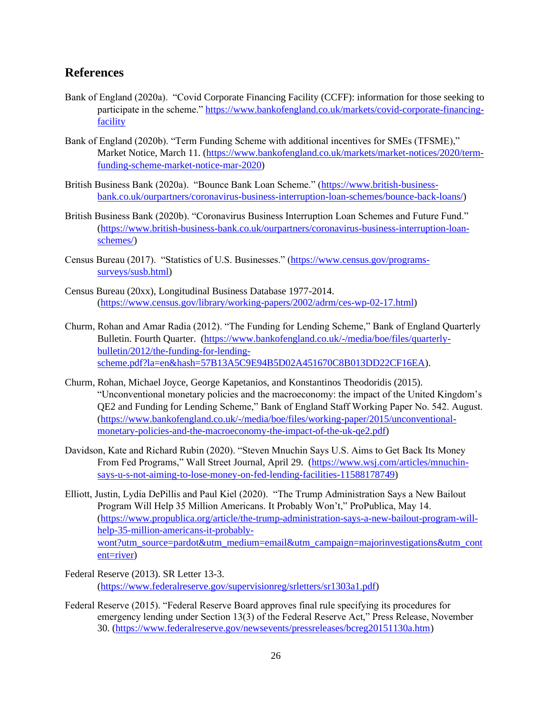## **References**

- Bank of England (2020a). "Covid Corporate Financing Facility (CCFF): information for those seeking to participate in the scheme." [https://www.bankofengland.co.uk/markets/covid-corporate-financing](https://www.bankofengland.co.uk/markets/covid-corporate-financing-facility)[facility](https://www.bankofengland.co.uk/markets/covid-corporate-financing-facility)
- Bank of England (2020b). "Term Funding Scheme with additional incentives for SMEs (TFSME)," Market Notice, March 11. [\(https://www.bankofengland.co.uk/markets/market-notices/2020/term](https://www.bankofengland.co.uk/markets/market-notices/2020/term-funding-scheme-market-notice-mar-2020)[funding-scheme-market-notice-mar-2020\)](https://www.bankofengland.co.uk/markets/market-notices/2020/term-funding-scheme-market-notice-mar-2020)
- British Business Bank (2020a). "Bounce Bank Loan Scheme." [\(https://www.british-business](https://www.british-business-bank.co.uk/ourpartners/coronavirus-business-interruption-loan-schemes/bounce-back-loans/)[bank.co.uk/ourpartners/coronavirus-business-interruption-loan-schemes/bounce-back-loans/\)](https://www.british-business-bank.co.uk/ourpartners/coronavirus-business-interruption-loan-schemes/bounce-back-loans/)
- British Business Bank (2020b). "Coronavirus Business Interruption Loan Schemes and Future Fund." [\(https://www.british-business-bank.co.uk/ourpartners/coronavirus-business-interruption-loan](https://www.british-business-bank.co.uk/ourpartners/coronavirus-business-interruption-loan-schemes/)[schemes/\)](https://www.british-business-bank.co.uk/ourpartners/coronavirus-business-interruption-loan-schemes/)
- Census Bureau (2017). "Statistics of U.S. Businesses." [\(https://www.census.gov/programs](https://www.census.gov/programs-surveys/susb.html)[surveys/susb.html\)](https://www.census.gov/programs-surveys/susb.html)
- Census Bureau (20xx), Longitudinal Business Database 1977-2014. [\(https://www.census.gov/library/working-papers/2002/adrm/ces-wp-02-17.html\)](https://www.census.gov/library/working-papers/2002/adrm/ces-wp-02-17.html)
- Churm, Rohan and Amar Radia (2012). "The Funding for Lending Scheme," Bank of England Quarterly Bulletin. Fourth Quarter. [\(https://www.bankofengland.co.uk/-/media/boe/files/quarterly](https://www.bankofengland.co.uk/-/media/boe/files/quarterly-bulletin/2012/the-funding-for-lending-scheme.pdf?la=en&hash=57B13A5C9E94B5D02A451670C8B013DD22CF16EA)[bulletin/2012/the-funding-for-lending](https://www.bankofengland.co.uk/-/media/boe/files/quarterly-bulletin/2012/the-funding-for-lending-scheme.pdf?la=en&hash=57B13A5C9E94B5D02A451670C8B013DD22CF16EA)[scheme.pdf?la=en&hash=57B13A5C9E94B5D02A451670C8B013DD22CF16EA\)](https://www.bankofengland.co.uk/-/media/boe/files/quarterly-bulletin/2012/the-funding-for-lending-scheme.pdf?la=en&hash=57B13A5C9E94B5D02A451670C8B013DD22CF16EA).
- Churm, Rohan, Michael Joyce, George Kapetanios, and Konstantinos Theodoridis (2015). "Unconventional monetary policies and the macroeconomy: the impact of the United Kingdom's QE2 and Funding for Lending Scheme," Bank of England Staff Working Paper No. 542. August. [\(https://www.bankofengland.co.uk/-/media/boe/files/working-paper/2015/unconventional](https://www.bankofengland.co.uk/-/media/boe/files/working-paper/2015/unconventional-monetary-policies-and-the-macroeconomy-the-impact-of-the-uk-qe2.pdf)[monetary-policies-and-the-macroeconomy-the-impact-of-the-uk-qe2.pdf\)](https://www.bankofengland.co.uk/-/media/boe/files/working-paper/2015/unconventional-monetary-policies-and-the-macroeconomy-the-impact-of-the-uk-qe2.pdf)
- Davidson, Kate and Richard Rubin (2020). "Steven Mnuchin Says U.S. Aims to Get Back Its Money From Fed Programs," Wall Street Journal, April 29. [\(https://www.wsj.com/articles/mnuchin](https://www.wsj.com/articles/mnuchin-says-u-s-not-aiming-to-lose-money-on-fed-lending-facilities-11588178749)[says-u-s-not-aiming-to-lose-money-on-fed-lending-facilities-11588178749\)](https://www.wsj.com/articles/mnuchin-says-u-s-not-aiming-to-lose-money-on-fed-lending-facilities-11588178749)
- Elliott, Justin, Lydia DePillis and Paul Kiel (2020). "The Trump Administration Says a New Bailout Program Will Help 35 Million Americans. It Probably Won't," ProPublica, May 14. [\(https://www.propublica.org/article/the-trump-administration-says-a-new-bailout-program-will](https://www.propublica.org/article/the-trump-administration-says-a-new-bailout-program-will-help-35-million-americans-it-probably-wont?utm_source=pardot&utm_medium=email&utm_campaign=majorinvestigations&utm_content=river)[help-35-million-americans-it-probably](https://www.propublica.org/article/the-trump-administration-says-a-new-bailout-program-will-help-35-million-americans-it-probably-wont?utm_source=pardot&utm_medium=email&utm_campaign=majorinvestigations&utm_content=river)[wont?utm\\_source=pardot&utm\\_medium=email&utm\\_campaign=majorinvestigations&utm\\_cont](https://www.propublica.org/article/the-trump-administration-says-a-new-bailout-program-will-help-35-million-americans-it-probably-wont?utm_source=pardot&utm_medium=email&utm_campaign=majorinvestigations&utm_content=river) [ent=river\)](https://www.propublica.org/article/the-trump-administration-says-a-new-bailout-program-will-help-35-million-americans-it-probably-wont?utm_source=pardot&utm_medium=email&utm_campaign=majorinvestigations&utm_content=river)
- Federal Reserve (2013). SR Letter 13-3. [\(https://www.federalreserve.gov/supervisionreg/srletters/sr1303a1.pdf\)](https://www.federalreserve.gov/supervisionreg/srletters/sr1303a1.pdf)
- Federal Reserve (2015). "Federal Reserve Board approves final rule specifying its procedures for emergency lending under Section 13(3) of the Federal Reserve Act," Press Release, November 30. [\(https://www.federalreserve.gov/newsevents/pressreleases/bcreg20151130a.htm\)](https://www.federalreserve.gov/newsevents/pressreleases/bcreg20151130a.htm)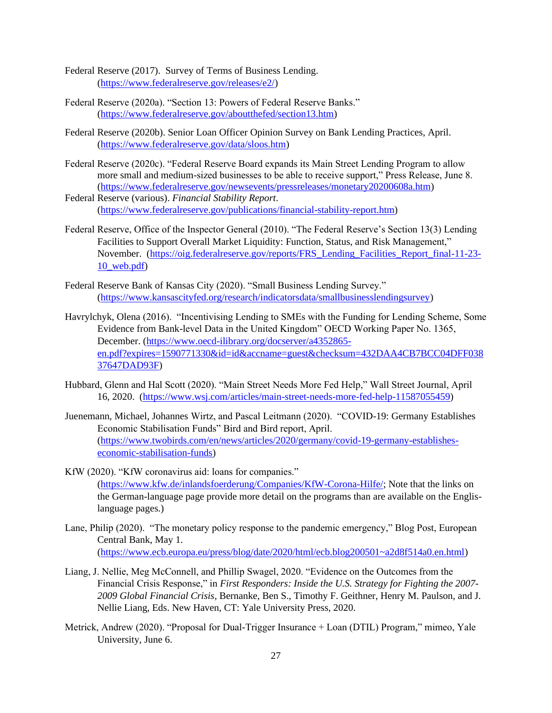- Federal Reserve (2017). Survey of Terms of Business Lending. [\(https://www.federalreserve.gov/releases/e2/\)](https://www.federalreserve.gov/releases/e2/)
- Federal Reserve (2020a). "Section 13: Powers of Federal Reserve Banks." [\(https://www.federalreserve.gov/aboutthefed/section13.htm\)](https://www.federalreserve.gov/aboutthefed/section13.htm)
- Federal Reserve (2020b). Senior Loan Officer Opinion Survey on Bank Lending Practices, April. [\(https://www.federalreserve.gov/data/sloos.htm\)](https://www.federalreserve.gov/data/sloos.htm)
- Federal Reserve (2020c). "Federal Reserve Board expands its Main Street Lending Program to allow more small and medium-sized businesses to be able to receive support," Press Release, June 8. [\(https://www.federalreserve.gov/newsevents/pressreleases/monetary20200608a.htm\)](https://www.federalreserve.gov/newsevents/pressreleases/monetary20200608a.htm)
- Federal Reserve (various). *Financial Stability Report*. [\(https://www.federalreserve.gov/publications/financial-stability-report.htm\)](https://www.federalreserve.gov/publications/financial-stability-report.htm)
- Federal Reserve, Office of the Inspector General (2010). "The Federal Reserve's Section 13(3) Lending Facilities to Support Overall Market Liquidity: Function, Status, and Risk Management," November. [\(https://oig.federalreserve.gov/reports/FRS\\_Lending\\_Facilities\\_Report\\_final-11-23-](https://oig.federalreserve.gov/reports/FRS_Lending_Facilities_Report_final-11-23-10_web.pdf) [10\\_web.pdf\)](https://oig.federalreserve.gov/reports/FRS_Lending_Facilities_Report_final-11-23-10_web.pdf)
- Federal Reserve Bank of Kansas City (2020). "Small Business Lending Survey." [\(https://www.kansascityfed.org/research/indicatorsdata/smallbusinesslendingsurvey\)](https://www.kansascityfed.org/research/indicatorsdata/smallbusinesslendingsurvey)
- Havrylchyk, Olena (2016). "Incentivising Lending to SMEs with the Funding for Lending Scheme, Some Evidence from Bank-level Data in the United Kingdom" OECD Working Paper No. 1365, December. [\(https://www.oecd-ilibrary.org/docserver/a4352865](https://www.oecd-ilibrary.org/docserver/a4352865-en.pdf?expires=1590771330&id=id&accname=guest&checksum=432DAA4CB7BCC04DFF03837647DAD93F) [en.pdf?expires=1590771330&id=id&accname=guest&checksum=432DAA4CB7BCC04DFF038](https://www.oecd-ilibrary.org/docserver/a4352865-en.pdf?expires=1590771330&id=id&accname=guest&checksum=432DAA4CB7BCC04DFF03837647DAD93F) [37647DAD93F\)](https://www.oecd-ilibrary.org/docserver/a4352865-en.pdf?expires=1590771330&id=id&accname=guest&checksum=432DAA4CB7BCC04DFF03837647DAD93F)
- Hubbard, Glenn and Hal Scott (2020). "Main Street Needs More Fed Help," Wall Street Journal, April 16, 2020. [\(https://www.wsj.com/articles/main-street-needs-more-fed-help-11587055459\)](https://www.wsj.com/articles/main-street-needs-more-fed-help-11587055459)
- Juenemann, Michael, Johannes Wirtz, and Pascal Leitmann (2020). "COVID-19: Germany Establishes Economic Stabilisation Funds" Bird and Bird report, April. [\(https://www.twobirds.com/en/news/articles/2020/germany/covid-19-germany-establishes](https://www.twobirds.com/en/news/articles/2020/germany/covid-19-germany-establishes-economic-stabilisation-funds)[economic-stabilisation-funds\)](https://www.twobirds.com/en/news/articles/2020/germany/covid-19-germany-establishes-economic-stabilisation-funds)
- KfW (2020). "KfW coronavirus aid: loans for companies." [\(https://www.kfw.de/inlandsfoerderung/Companies/KfW-Corona-Hilfe/;](https://www.kfw.de/inlandsfoerderung/Companies/KfW-Corona-Hilfe/) Note that the links on the German-language page provide more detail on the programs than are available on the Englislanguage pages.)
- Lane, Philip (2020). "The monetary policy response to the pandemic emergency," Blog Post, European Central Bank, May 1. [\(https://www.ecb.europa.eu/press/blog/date/2020/html/ecb.blog200501~a2d8f514a0.en.html\)](https://www.ecb.europa.eu/press/blog/date/2020/html/ecb.blog200501~a2d8f514a0.en.html)
- Liang, J. Nellie, Meg McConnell, and Phillip Swagel, 2020. "Evidence on the Outcomes from the Financial Crisis Response," in *First Responders: Inside the U.S. Strategy for Fighting the 2007- 2009 Global Financial Crisis*, Bernanke, Ben S., Timothy F. Geithner, Henry M. Paulson, and J. Nellie Liang, Eds. New Haven, CT: Yale University Press, 2020.
- Metrick, Andrew (2020). "Proposal for Dual-Trigger Insurance + Loan (DTIL) Program," mimeo, Yale University, June 6.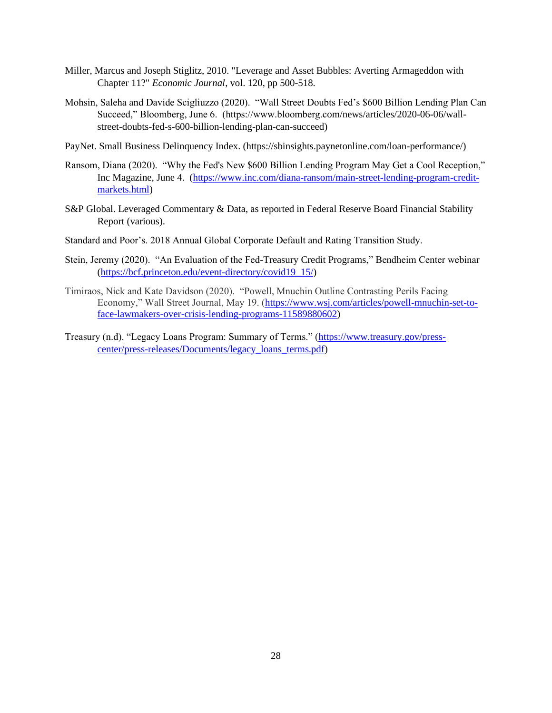- Miller, Marcus and Joseph Stiglitz, 2010. "Leverage and Asset Bubbles: Averting Armageddon with Chapter 11?" *Economic Journal*, vol. 120, pp 500-518.
- Mohsin, Saleha and Davide Scigliuzzo (2020). "Wall Street Doubts Fed's \$600 Billion Lending Plan Can Succeed," Bloomberg, June 6. (https://www.bloomberg.com/news/articles/2020-06-06/wallstreet-doubts-fed-s-600-billion-lending-plan-can-succeed)
- PayNet. Small Business Delinquency Index. (https://sbinsights.paynetonline.com/loan-performance/)
- Ransom, Diana (2020). "Why the Fed's New \$600 Billion Lending Program May Get a Cool Reception," Inc Magazine, June 4. [\(https://www.inc.com/diana-ransom/main-street-lending-program-credit](https://www.inc.com/diana-ransom/main-street-lending-program-credit-markets.html)[markets.html\)](https://www.inc.com/diana-ransom/main-street-lending-program-credit-markets.html)
- S&P Global. Leveraged Commentary & Data, as reported in Federal Reserve Board Financial Stability Report (various).
- Standard and Poor's. 2018 Annual Global Corporate Default and Rating Transition Study.
- Stein, Jeremy (2020). "An Evaluation of the Fed-Treasury Credit Programs," Bendheim Center webinar [\(https://bcf.princeton.edu/event-directory/covid19\\_15/\)](https://bcf.princeton.edu/event-directory/covid19_15/)
- Timiraos, Nick and Kate Davidson (2020). "Powell, Mnuchin Outline Contrasting Perils Facing Economy," Wall Street Journal, May 19. [\(https://www.wsj.com/articles/powell-mnuchin-set-to](https://www.wsj.com/articles/powell-mnuchin-set-to-face-lawmakers-over-crisis-lending-programs-11589880602)[face-lawmakers-over-crisis-lending-programs-11589880602\)](https://www.wsj.com/articles/powell-mnuchin-set-to-face-lawmakers-over-crisis-lending-programs-11589880602)
- Treasury (n.d). "Legacy Loans Program: Summary of Terms." [\(https://www.treasury.gov/press](https://www.treasury.gov/press-center/press-releases/Documents/legacy_loans_terms.pdf)[center/press-releases/Documents/legacy\\_loans\\_terms.pdf\)](https://www.treasury.gov/press-center/press-releases/Documents/legacy_loans_terms.pdf)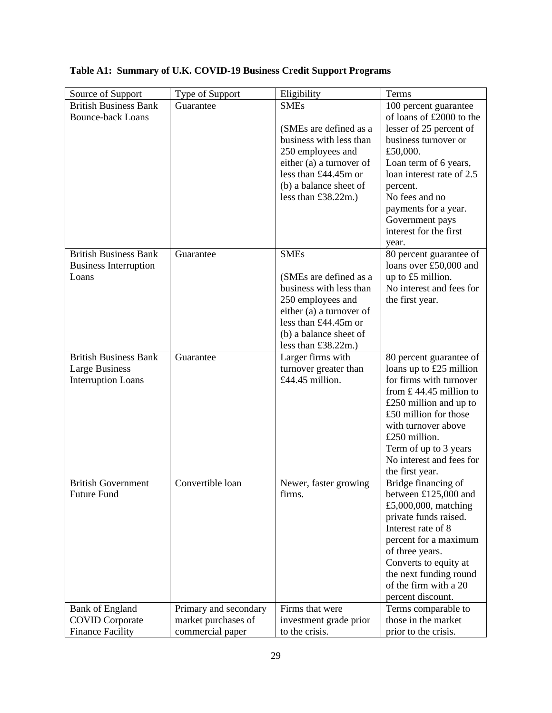| Source of Support            | Type of Support       | Eligibility              | Terms                                             |
|------------------------------|-----------------------|--------------------------|---------------------------------------------------|
| <b>British Business Bank</b> | Guarantee             | <b>SMEs</b>              | 100 percent guarantee                             |
| <b>Bounce-back Loans</b>     |                       |                          | of loans of £2000 to the                          |
|                              |                       | (SMEs are defined as a   | lesser of 25 percent of                           |
|                              |                       | business with less than  | business turnover or                              |
|                              |                       | 250 employees and        | £50,000.                                          |
|                              |                       | either (a) a turnover of | Loan term of 6 years,                             |
|                              |                       | less than £44.45m or     | loan interest rate of 2.5                         |
|                              |                       | (b) a balance sheet of   | percent.                                          |
|                              |                       | less than $£38.22m$ .)   | No fees and no                                    |
|                              |                       |                          | payments for a year.                              |
|                              |                       |                          | Government pays                                   |
|                              |                       |                          | interest for the first                            |
| <b>British Business Bank</b> |                       | <b>SMEs</b>              | year.                                             |
| <b>Business Interruption</b> | Guarantee             |                          | 80 percent guarantee of<br>loans over £50,000 and |
| Loans                        |                       | (SMEs are defined as a   | up to £5 million.                                 |
|                              |                       | business with less than  | No interest and fees for                          |
|                              |                       | 250 employees and        | the first year.                                   |
|                              |                       | either (a) a turnover of |                                                   |
|                              |                       | less than £44.45m or     |                                                   |
|                              |                       | (b) a balance sheet of   |                                                   |
|                              |                       | less than $£38.22m$ .)   |                                                   |
| <b>British Business Bank</b> | Guarantee             | Larger firms with        | 80 percent guarantee of                           |
| <b>Large Business</b>        |                       | turnover greater than    | loans up to £25 million                           |
| <b>Interruption Loans</b>    |                       | £44.45 million.          | for firms with turnover                           |
|                              |                       |                          | from $£$ 44.45 million to                         |
|                              |                       |                          | £250 million and up to                            |
|                              |                       |                          | £50 million for those                             |
|                              |                       |                          | with turnover above                               |
|                              |                       |                          | £250 million.                                     |
|                              |                       |                          | Term of up to 3 years                             |
|                              |                       |                          | No interest and fees for                          |
|                              |                       |                          | the first year.                                   |
| <b>British Government</b>    | Convertible loan      | Newer, faster growing    | Bridge financing of                               |
| <b>Future Fund</b>           |                       | firms.                   | between £125,000 and                              |
|                              |                       |                          | £5,000,000, matching                              |
|                              |                       |                          | private funds raised.<br>Interest rate of 8       |
|                              |                       |                          |                                                   |
|                              |                       |                          | percent for a maximum                             |
|                              |                       |                          | of three years.<br>Converts to equity at          |
|                              |                       |                          | the next funding round                            |
|                              |                       |                          | of the firm with a 20                             |
|                              |                       |                          | percent discount.                                 |
| <b>Bank of England</b>       | Primary and secondary | Firms that were          | Terms comparable to                               |
| <b>COVID Corporate</b>       | market purchases of   | investment grade prior   | those in the market                               |
| <b>Finance Facility</b>      | commercial paper      | to the crisis.           | prior to the crisis.                              |

## **Table A1: Summary of U.K. COVID-19 Business Credit Support Programs**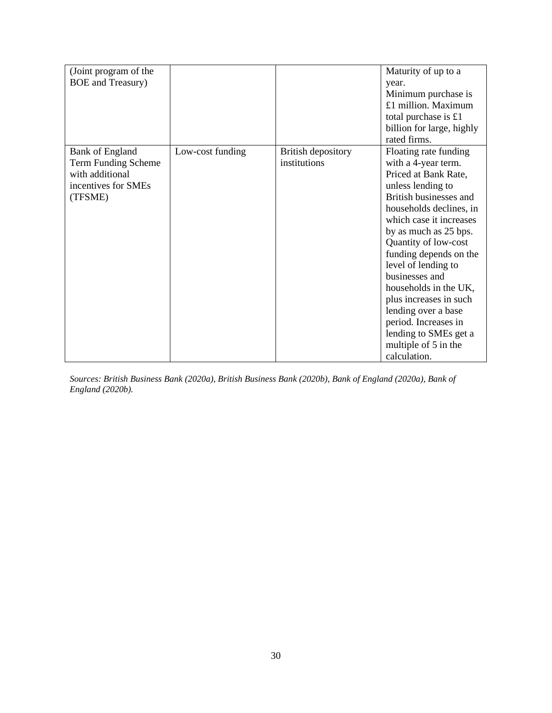| (Joint program of the<br><b>BOE</b> and Treasury)                                                  |                  |                                           | Maturity of up to a<br>year.<br>Minimum purchase is<br>£1 million. Maximum<br>total purchase is £1<br>billion for large, highly                                                                                                                                                                                                                                                                                                                                  |
|----------------------------------------------------------------------------------------------------|------------------|-------------------------------------------|------------------------------------------------------------------------------------------------------------------------------------------------------------------------------------------------------------------------------------------------------------------------------------------------------------------------------------------------------------------------------------------------------------------------------------------------------------------|
|                                                                                                    |                  |                                           | rated firms.                                                                                                                                                                                                                                                                                                                                                                                                                                                     |
| <b>Bank of England</b><br>Term Funding Scheme<br>with additional<br>incentives for SMEs<br>(TFSME) | Low-cost funding | <b>British depository</b><br>institutions | Floating rate funding<br>with a 4-year term.<br>Priced at Bank Rate,<br>unless lending to<br>British businesses and<br>households declines, in<br>which case it increases<br>by as much as 25 bps.<br>Quantity of low-cost<br>funding depends on the<br>level of lending to<br>businesses and<br>households in the UK,<br>plus increases in such<br>lending over a base<br>period. Increases in<br>lending to SMEs get a<br>multiple of 5 in the<br>calculation. |

*Sources: British Business Bank (2020a), British Business Bank (2020b), Bank of England (2020a), Bank of England (2020b).*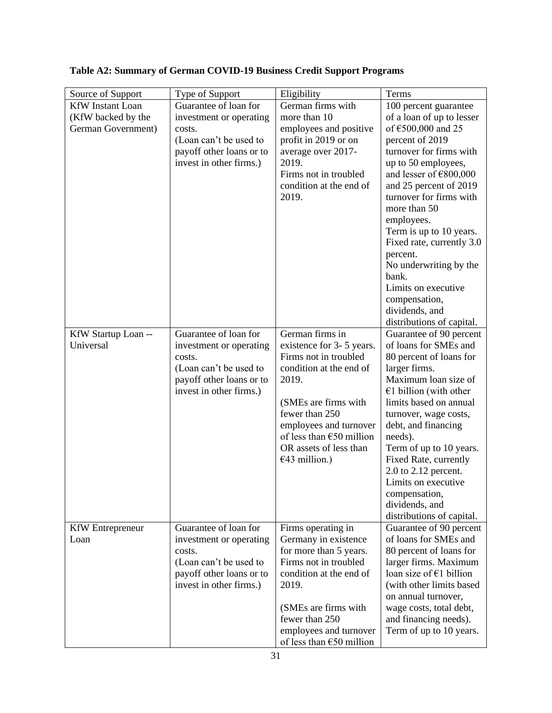| Source of Support       | Type of Support          | Eligibility                            | Terms                                              |
|-------------------------|--------------------------|----------------------------------------|----------------------------------------------------|
| <b>KfW</b> Instant Loan | Guarantee of loan for    | German firms with                      | 100 percent guarantee                              |
| (KfW backed by the      | investment or operating  | more than 10                           | of a loan of up to lesser                          |
| German Government)      | costs.                   | employees and positive                 | of $€500,000$ and 25                               |
|                         | (Loan can't be used to   | profit in 2019 or on                   | percent of 2019                                    |
|                         | payoff other loans or to | average over 2017-                     | turnover for firms with                            |
|                         | invest in other firms.)  | 2019.                                  | up to 50 employees,                                |
|                         |                          | Firms not in troubled                  | and lesser of $€800,000$                           |
|                         |                          | condition at the end of                | and 25 percent of 2019                             |
|                         |                          | 2019.                                  | turnover for firms with                            |
|                         |                          |                                        | more than 50                                       |
|                         |                          |                                        | employees.                                         |
|                         |                          |                                        | Term is up to 10 years.                            |
|                         |                          |                                        | Fixed rate, currently 3.0                          |
|                         |                          |                                        | percent.                                           |
|                         |                          |                                        | No underwriting by the                             |
|                         |                          |                                        | bank.                                              |
|                         |                          |                                        | Limits on executive                                |
|                         |                          |                                        | compensation,                                      |
|                         |                          |                                        | dividends, and                                     |
|                         |                          |                                        | distributions of capital.                          |
| KfW Startup Loan --     | Guarantee of loan for    | German firms in                        | Guarantee of 90 percent                            |
| Universal               | investment or operating  | existence for 3- 5 years.              | of loans for SMEs and                              |
|                         | costs.                   | Firms not in troubled                  | 80 percent of loans for                            |
|                         | (Loan can't be used to   | condition at the end of                | larger firms.                                      |
|                         | payoff other loans or to | 2019.                                  | Maximum loan size of                               |
|                         | invest in other firms.)  |                                        | $€1$ billion (with other<br>limits based on annual |
|                         |                          | (SMEs are firms with<br>fewer than 250 |                                                    |
|                         |                          | employees and turnover                 | turnover, wage costs,                              |
|                         |                          | of less than $\epsilon$ 50 million     | debt, and financing<br>needs).                     |
|                         |                          | OR assets of less than                 | Term of up to 10 years.                            |
|                         |                          | $€43$ million.)                        | Fixed Rate, currently                              |
|                         |                          |                                        | 2.0 to 2.12 percent.                               |
|                         |                          |                                        | Limits on executive                                |
|                         |                          |                                        | compensation,                                      |
|                         |                          |                                        | dividends, and                                     |
|                         |                          |                                        | distributions of capital.                          |
| <b>KfW</b> Entrepreneur | Guarantee of loan for    | Firms operating in                     | Guarantee of 90 percent                            |
| Loan                    | investment or operating  | Germany in existence                   | of loans for SMEs and                              |
|                         | costs.                   | for more than 5 years.                 | 80 percent of loans for                            |
|                         | (Loan can't be used to   | Firms not in troubled                  | larger firms. Maximum                              |
|                         | payoff other loans or to | condition at the end of                | loan size of $E1$ billion                          |
|                         | invest in other firms.)  | 2019.                                  | (with other limits based                           |
|                         |                          |                                        | on annual turnover,                                |
|                         |                          | (SMEs are firms with                   | wage costs, total debt,                            |
|                         |                          | fewer than 250                         | and financing needs).                              |
|                         |                          | employees and turnover                 | Term of up to 10 years.                            |
|                         |                          | of less than $\epsilon$ 50 million     |                                                    |

**Table A2: Summary of German COVID-19 Business Credit Support Programs**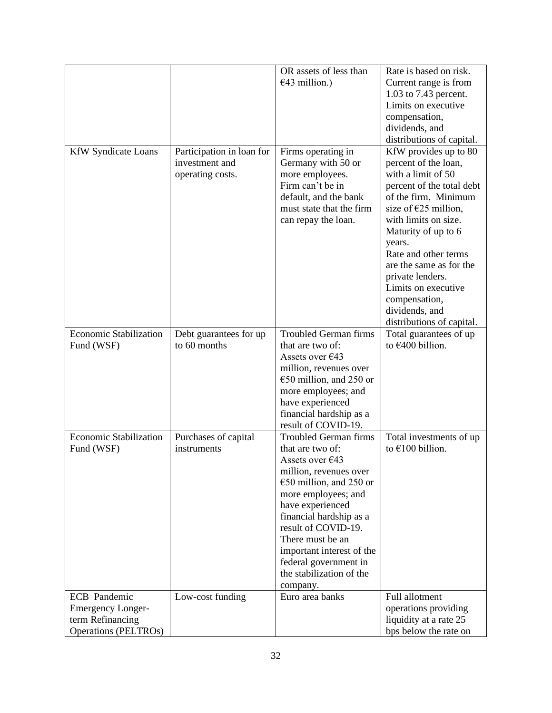|                                             |                                     | OR assets of less than                                                                                         | Rate is based on risk.                                                                                                    |
|---------------------------------------------|-------------------------------------|----------------------------------------------------------------------------------------------------------------|---------------------------------------------------------------------------------------------------------------------------|
|                                             |                                     | $€43$ million.)                                                                                                | Current range is from                                                                                                     |
|                                             |                                     |                                                                                                                | 1.03 to 7.43 percent.                                                                                                     |
|                                             |                                     |                                                                                                                | Limits on executive                                                                                                       |
|                                             |                                     |                                                                                                                | compensation,                                                                                                             |
|                                             |                                     |                                                                                                                | dividends, and                                                                                                            |
|                                             |                                     |                                                                                                                |                                                                                                                           |
| <b>KfW</b> Syndicate Loans                  | Participation in loan for           | Firms operating in                                                                                             | distributions of capital.<br>KfW provides up to 80                                                                        |
|                                             | investment and<br>operating costs.  | Germany with 50 or<br>more employees.<br>Firm can't be in<br>default, and the bank<br>must state that the firm | percent of the loan,<br>with a limit of 50<br>percent of the total debt<br>of the firm. Minimum<br>size of $E25$ million, |
|                                             |                                     | can repay the loan.                                                                                            | with limits on size.<br>Maturity of up to 6<br>years.<br>Rate and other terms<br>are the same as for the                  |
|                                             |                                     |                                                                                                                | private lenders.<br>Limits on executive<br>compensation,<br>dividends, and<br>distributions of capital.                   |
| <b>Economic Stabilization</b>               | Debt guarantees for up              | <b>Troubled German firms</b>                                                                                   | Total guarantees of up                                                                                                    |
| Fund (WSF)                                  | to 60 months                        | that are two of:                                                                                               | to $€400$ billion.                                                                                                        |
|                                             |                                     | Assets over €43                                                                                                |                                                                                                                           |
|                                             |                                     | million, revenues over                                                                                         |                                                                                                                           |
|                                             |                                     | €50 million, and 250 or                                                                                        |                                                                                                                           |
|                                             |                                     | more employees; and                                                                                            |                                                                                                                           |
|                                             |                                     | have experienced                                                                                               |                                                                                                                           |
|                                             |                                     | financial hardship as a                                                                                        |                                                                                                                           |
|                                             |                                     | result of COVID-19.                                                                                            |                                                                                                                           |
| <b>Economic Stabilization</b><br>Fund (WSF) | Purchases of capital<br>instruments | <b>Troubled German firms</b><br>that are two of:                                                               | Total investments of up<br>to $€100$ billion.                                                                             |
|                                             |                                     | Assets over $\epsilon$ 43                                                                                      |                                                                                                                           |
|                                             |                                     | million, revenues over                                                                                         |                                                                                                                           |
|                                             |                                     | €50 million, and 250 or                                                                                        |                                                                                                                           |
|                                             |                                     | more employees; and                                                                                            |                                                                                                                           |
|                                             |                                     | have experienced                                                                                               |                                                                                                                           |
|                                             |                                     | financial hardship as a                                                                                        |                                                                                                                           |
|                                             |                                     | result of COVID-19.                                                                                            |                                                                                                                           |
|                                             |                                     | There must be an                                                                                               |                                                                                                                           |
|                                             |                                     | important interest of the                                                                                      |                                                                                                                           |
|                                             |                                     | federal government in                                                                                          |                                                                                                                           |
|                                             |                                     | the stabilization of the                                                                                       |                                                                                                                           |
|                                             |                                     | company.                                                                                                       |                                                                                                                           |
| <b>ECB</b> Pandemic                         | Low-cost funding                    | Euro area banks                                                                                                | Full allotment                                                                                                            |
| <b>Emergency Longer-</b>                    |                                     |                                                                                                                | operations providing                                                                                                      |
| term Refinancing                            |                                     |                                                                                                                | liquidity at a rate 25                                                                                                    |
| Operations (PELTROs)                        |                                     |                                                                                                                | bps below the rate on                                                                                                     |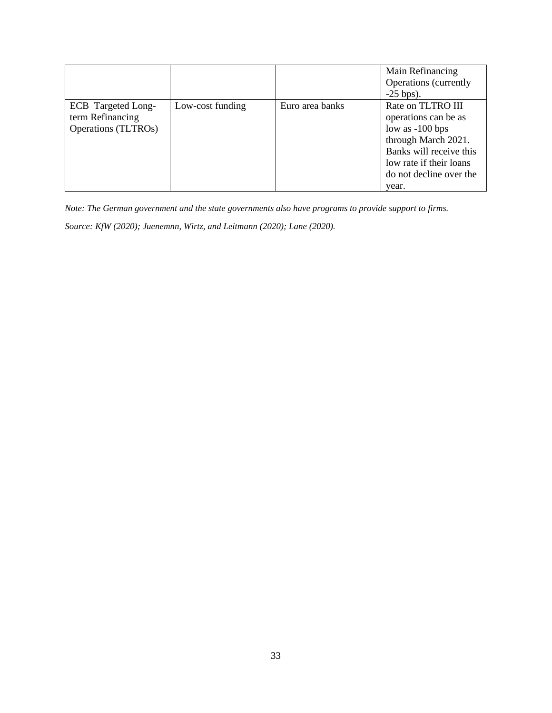|                                                                      |                  |                 | Main Refinancing<br>Operations (currently<br>$-25$ bps).                                                                                                                        |
|----------------------------------------------------------------------|------------------|-----------------|---------------------------------------------------------------------------------------------------------------------------------------------------------------------------------|
| ECB Targeted Long-<br>term Refinancing<br><b>Operations</b> (TLTROs) | Low-cost funding | Euro area banks | Rate on TLTRO III<br>operations can be as<br>low as $-100$ bps<br>through March 2021.<br>Banks will receive this<br>low rate if their loans<br>do not decline over the<br>vear. |

*Note: The German government and the state governments also have programs to provide support to firms.* 

*Source: KfW (2020); Juenemnn, Wirtz, and Leitmann (2020); Lane (2020).*